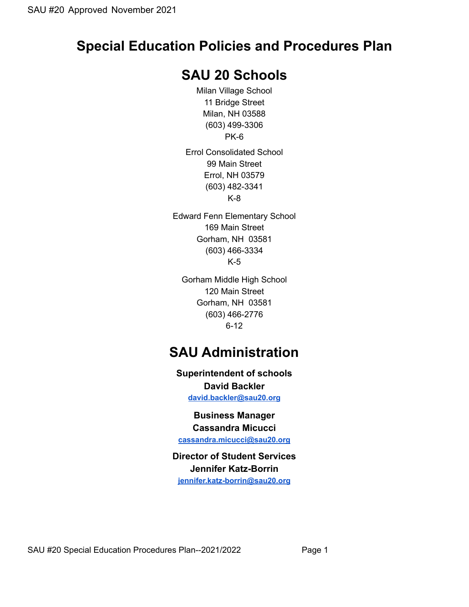# **Special Education Policies and Procedures Plan**

## **SAU 20 Schools**

Milan Village School 11 Bridge Street Milan, NH 03588 (603) 499-3306 PK-6

Errol Consolidated School 99 Main Street Errol, NH 03579 (603) 482-3341 K-8

Edward Fenn Elementary School 169 Main Street Gorham, NH 03581 (603) 466-3334 K-5

Gorham Middle High School 120 Main Street Gorham, NH 03581 (603) 466-2776 6-12

# **SAU Administration**

**Superintendent of schools David Backler**

**[david.backler@sau20.org](mailto:david.backler@sau20.org)**

**Business Manager Cassandra Micucci**

**[cassandra.micucci@sau20.org](mailto:cassandra.micucci@sau20.org)**

## **Director of Student Services Jennifer Katz-Borrin**

**[jennifer.katz-borrin@sau20.org](mailto:jennifer.katz-borrin@sau20.org)**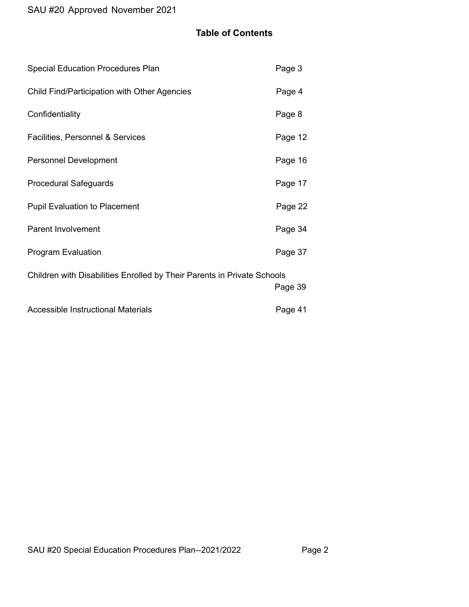## **Table of Contents**

| <b>Special Education Procedures Plan</b>                                | Page 3  |
|-------------------------------------------------------------------------|---------|
| Child Find/Participation with Other Agencies                            | Page 4  |
| Confidentiality                                                         | Page 8  |
| Facilities, Personnel & Services                                        | Page 12 |
| <b>Personnel Development</b>                                            | Page 16 |
| <b>Procedural Safeguards</b>                                            | Page 17 |
| <b>Pupil Evaluation to Placement</b>                                    | Page 22 |
| <b>Parent Involvement</b>                                               | Page 34 |
| <b>Program Evaluation</b>                                               | Page 37 |
| Children with Disabilities Enrolled by Their Parents in Private Schools | Page 39 |
| <b>Accessible Instructional Materials</b>                               | Page 41 |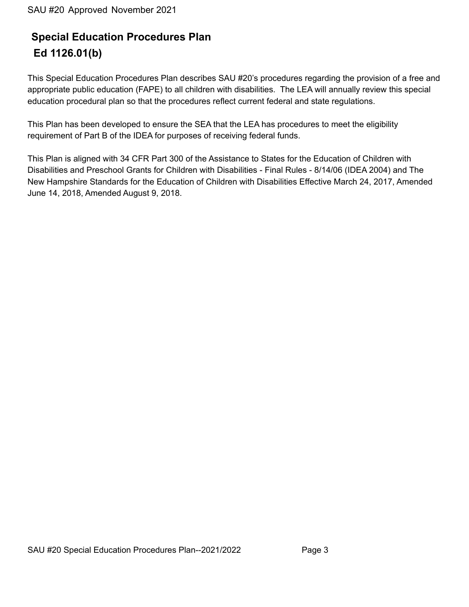## **Special Education Procedures Plan Ed 1126.01(b)**

This Special Education Procedures Plan describes SAU #20's procedures regarding the provision of a free and appropriate public education (FAPE) to all children with disabilities. The LEA will annually review this special education procedural plan so that the procedures reflect current federal and state regulations.

This Plan has been developed to ensure the SEA that the LEA has procedures to meet the eligibility requirement of Part B of the IDEA for purposes of receiving federal funds.

This Plan is aligned with 34 CFR Part 300 of the Assistance to States for the Education of Children with Disabilities and Preschool Grants for Children with Disabilities - Final Rules - 8/14/06 (IDEA 2004) and The New Hampshire Standards for the Education of Children with Disabilities Effective March 24, 2017, Amended June 14, 2018, Amended August 9, 2018.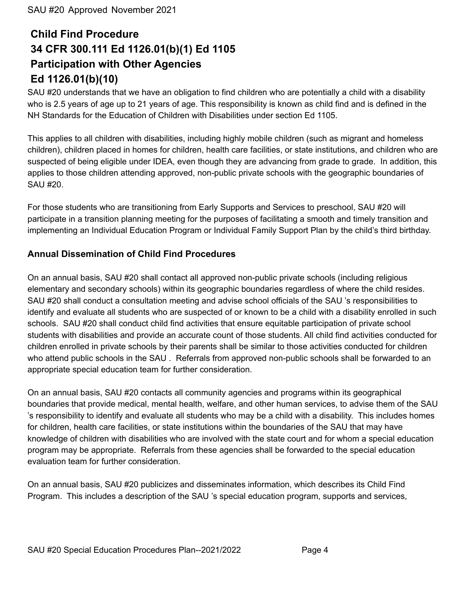# **Child Find Procedure 34 CFR 300.111 Ed 1126.01(b)(1) Ed 1105 Participation with Other Agencies Ed 1126.01(b)(10)**

SAU #20 understands that we have an obligation to find children who are potentially a child with a disability who is 2.5 years of age up to 21 years of age. This responsibility is known as child find and is defined in the NH Standards for the Education of Children with Disabilities under section Ed 1105.

This applies to all children with disabilities, including highly mobile children (such as migrant and homeless children), children placed in homes for children, health care facilities, or state institutions, and children who are suspected of being eligible under IDEA, even though they are advancing from grade to grade. In addition, this applies to those children attending approved, non-public private schools with the geographic boundaries of SAU #20.

For those students who are transitioning from Early Supports and Services to preschool, SAU #20 will participate in a transition planning meeting for the purposes of facilitating a smooth and timely transition and implementing an Individual Education Program or Individual Family Support Plan by the child's third birthday.

## **Annual Dissemination of Child Find Procedures**

On an annual basis, SAU #20 shall contact all approved non-public private schools (including religious elementary and secondary schools) within its geographic boundaries regardless of where the child resides. SAU #20 shall conduct a consultation meeting and advise school officials of the SAU 's responsibilities to identify and evaluate all students who are suspected of or known to be a child with a disability enrolled in such schools. SAU #20 shall conduct child find activities that ensure equitable participation of private school students with disabilities and provide an accurate count of those students. All child find activities conducted for children enrolled in private schools by their parents shall be similar to those activities conducted for children who attend public schools in the SAU . Referrals from approved non-public schools shall be forwarded to an appropriate special education team for further consideration.

On an annual basis, SAU #20 contacts all community agencies and programs within its geographical boundaries that provide medical, mental health, welfare, and other human services, to advise them of the SAU 's responsibility to identify and evaluate all students who may be a child with a disability. This includes homes for children, health care facilities, or state institutions within the boundaries of the SAU that may have knowledge of children with disabilities who are involved with the state court and for whom a special education program may be appropriate. Referrals from these agencies shall be forwarded to the special education evaluation team for further consideration.

On an annual basis, SAU #20 publicizes and disseminates information, which describes its Child Find Program. This includes a description of the SAU 's special education program, supports and services,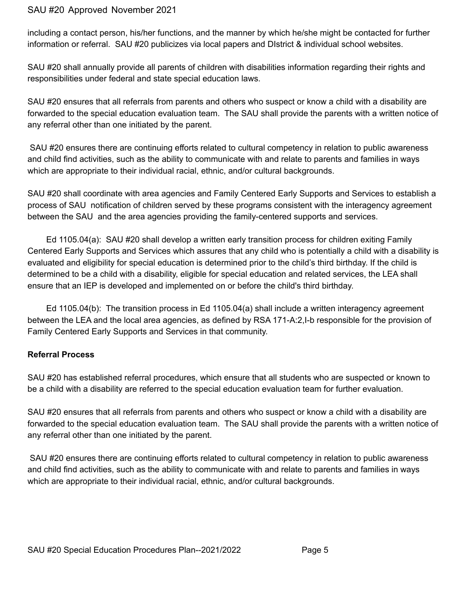including a contact person, his/her functions, and the manner by which he/she might be contacted for further information or referral. SAU #20 publicizes via local papers and DIstrict & individual school websites.

SAU #20 shall annually provide all parents of children with disabilities information regarding their rights and responsibilities under federal and state special education laws.

SAU #20 ensures that all referrals from parents and others who suspect or know a child with a disability are forwarded to the special education evaluation team. The SAU shall provide the parents with a written notice of any referral other than one initiated by the parent.

SAU #20 ensures there are continuing efforts related to cultural competency in relation to public awareness and child find activities, such as the ability to communicate with and relate to parents and families in ways which are appropriate to their individual racial, ethnic, and/or cultural backgrounds.

SAU #20 shall coordinate with area agencies and Family Centered Early Supports and Services to establish a process of SAU notification of children served by these programs consistent with the interagency agreement between the SAU and the area agencies providing the family-centered supports and services.

Ed 1105.04(a): SAU #20 shall develop a written early transition process for children exiting Family Centered Early Supports and Services which assures that any child who is potentially a child with a disability is evaluated and eligibility for special education is determined prior to the child's third birthday. If the child is determined to be a child with a disability, eligible for special education and related services, the LEA shall ensure that an IEP is developed and implemented on or before the child's third birthday.

Ed 1105.04(b): The transition process in Ed 1105.04(a) shall include a written interagency agreement between the LEA and the local area agencies, as defined by RSA 171-A:2,I-b responsible for the provision of Family Centered Early Supports and Services in that community.

#### **Referral Process**

SAU #20 has established referral procedures, which ensure that all students who are suspected or known to be a child with a disability are referred to the special education evaluation team for further evaluation.

SAU #20 ensures that all referrals from parents and others who suspect or know a child with a disability are forwarded to the special education evaluation team. The SAU shall provide the parents with a written notice of any referral other than one initiated by the parent.

SAU #20 ensures there are continuing efforts related to cultural competency in relation to public awareness and child find activities, such as the ability to communicate with and relate to parents and families in ways which are appropriate to their individual racial, ethnic, and/or cultural backgrounds.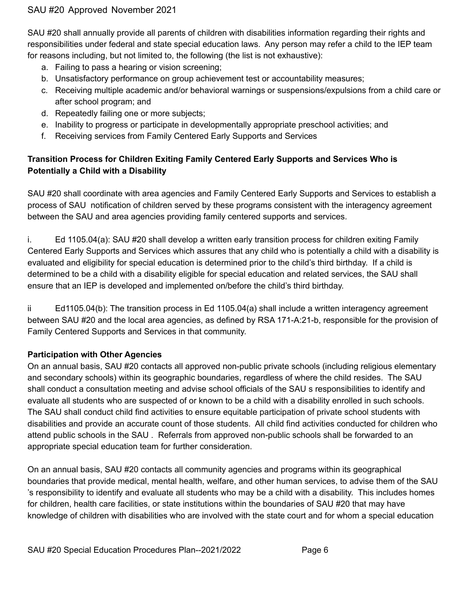SAU #20 shall annually provide all parents of children with disabilities information regarding their rights and responsibilities under federal and state special education laws. Any person may refer a child to the IEP team for reasons including, but not limited to, the following (the list is not exhaustive):

- a. Failing to pass a hearing or vision screening;
- b. Unsatisfactory performance on group achievement test or accountability measures;
- c. Receiving multiple academic and/or behavioral warnings or suspensions/expulsions from a child care or after school program; and
- d. Repeatedly failing one or more subjects;
- e. Inability to progress or participate in developmentally appropriate preschool activities; and
- f. Receiving services from Family Centered Early Supports and Services

## **Transition Process for Children Exiting Family Centered Early Supports and Services Who is Potentially a Child with a Disability**

SAU #20 shall coordinate with area agencies and Family Centered Early Supports and Services to establish a process of SAU notification of children served by these programs consistent with the interagency agreement between the SAU and area agencies providing family centered supports and services.

i. Ed 1105.04(a): SAU #20 shall develop a written early transition process for children exiting Family Centered Early Supports and Services which assures that any child who is potentially a child with a disability is evaluated and eligibility for special education is determined prior to the child's third birthday. If a child is determined to be a child with a disability eligible for special education and related services, the SAU shall ensure that an IEP is developed and implemented on/before the child's third birthday.

ii Ed1105.04(b): The transition process in Ed 1105.04(a) shall include a written interagency agreement between SAU #20 and the local area agencies, as defined by RSA 171-A:21-b, responsible for the provision of Family Centered Supports and Services in that community.

## **Participation with Other Agencies**

On an annual basis, SAU #20 contacts all approved non-public private schools (including religious elementary and secondary schools) within its geographic boundaries, regardless of where the child resides. The SAU shall conduct a consultation meeting and advise school officials of the SAU s responsibilities to identify and evaluate all students who are suspected of or known to be a child with a disability enrolled in such schools. The SAU shall conduct child find activities to ensure equitable participation of private school students with disabilities and provide an accurate count of those students. All child find activities conducted for children who attend public schools in the SAU . Referrals from approved non-public schools shall be forwarded to an appropriate special education team for further consideration.

On an annual basis, SAU #20 contacts all community agencies and programs within its geographical boundaries that provide medical, mental health, welfare, and other human services, to advise them of the SAU 's responsibility to identify and evaluate all students who may be a child with a disability. This includes homes for children, health care facilities, or state institutions within the boundaries of SAU #20 that may have knowledge of children with disabilities who are involved with the state court and for whom a special education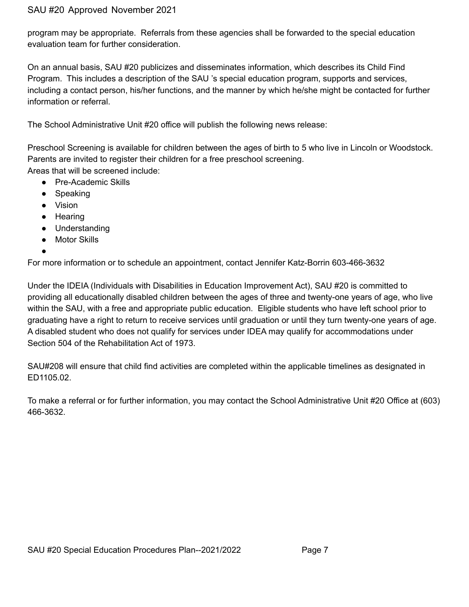program may be appropriate. Referrals from these agencies shall be forwarded to the special education evaluation team for further consideration.

On an annual basis, SAU #20 publicizes and disseminates information, which describes its Child Find Program. This includes a description of the SAU 's special education program, supports and services, including a contact person, his/her functions, and the manner by which he/she might be contacted for further information or referral.

The School Administrative Unit #20 office will publish the following news release:

Preschool Screening is available for children between the ages of birth to 5 who live in Lincoln or Woodstock. Parents are invited to register their children for a free preschool screening. Areas that will be screened include:

- Pre-Academic Skills
- Speaking
- Vision
- Hearing
- Understanding
- Motor Skills
- ●

For more information or to schedule an appointment, contact Jennifer Katz-Borrin 603-466-3632

Under the IDEIA (Individuals with Disabilities in Education Improvement Act), SAU #20 is committed to providing all educationally disabled children between the ages of three and twenty-one years of age, who live within the SAU, with a free and appropriate public education. Eligible students who have left school prior to graduating have a right to return to receive services until graduation or until they turn twenty-one years of age. A disabled student who does not qualify for services under IDEA may qualify for accommodations under Section 504 of the Rehabilitation Act of 1973.

SAU#208 will ensure that child find activities are completed within the applicable timelines as designated in ED1105.02.

To make a referral or for further information, you may contact the School Administrative Unit #20 Office at (603) 466-3632.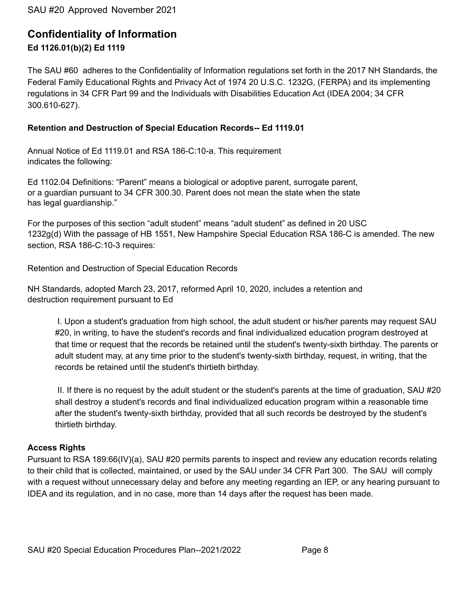## **Confidentiality of Information Ed 1126.01(b)(2) Ed 1119**

The SAU #60 adheres to the Confidentiality of Information regulations set forth in the 2017 NH Standards, the Federal Family Educational Rights and Privacy Act of 1974 20 U.S.C. 1232G, (FERPA) and its implementing regulations in 34 CFR Part 99 and the Individuals with Disabilities Education Act (IDEA 2004; 34 CFR 300.610-627).

#### **Retention and Destruction of Special Education Records-- Ed 1119.01**

Annual Notice of Ed 1119.01 and RSA 186-C:10-a. This requirement indicates the following:

Ed 1102.04 Definitions: "Parent" means a biological or adoptive parent, surrogate parent, or a guardian pursuant to 34 CFR 300.30. Parent does not mean the state when the state has legal guardianship."

For the purposes of this section "adult student" means "adult student" as defined in 20 USC 1232g(d) With the passage of HB 1551, New Hampshire Special Education RSA 186-C is amended. The new section, RSA 186-C:10-3 requires:

Retention and Destruction of Special Education Records

NH Standards, adopted March 23, 2017, reformed April 10, 2020, includes a retention and destruction requirement pursuant to Ed

I. Upon a student's graduation from high school, the adult student or his/her parents may request SAU #20, in writing, to have the student's records and final individualized education program destroyed at that time or request that the records be retained until the student's twenty-sixth birthday. The parents or adult student may, at any time prior to the student's twenty-sixth birthday, request, in writing, that the records be retained until the student's thirtieth birthday.

II. If there is no request by the adult student or the student's parents at the time of graduation, SAU #20 shall destroy a student's records and final individualized education program within a reasonable time after the student's twenty-sixth birthday, provided that all such records be destroyed by the student's thirtieth birthday.

#### **Access Rights**

Pursuant to RSA 189:66(IV)(a), SAU #20 permits parents to inspect and review any education records relating to their child that is collected, maintained, or used by the SAU under 34 CFR Part 300. The SAU will comply with a request without unnecessary delay and before any meeting regarding an IEP, or any hearing pursuant to IDEA and its regulation, and in no case, more than 14 days after the request has been made.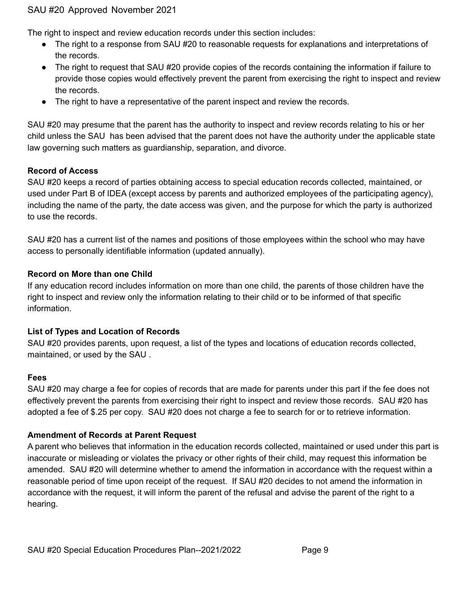The right to inspect and review education records under this section includes:

- The right to a response from SAU #20 to reasonable requests for explanations and interpretations of the records.
- The right to request that SAU #20 provide copies of the records containing the information if failure to provide those copies would effectively prevent the parent from exercising the right to inspect and review the records.
- The right to have a representative of the parent inspect and review the records.

SAU #20 may presume that the parent has the authority to inspect and review records relating to his or her child unless the SAU has been advised that the parent does not have the authority under the applicable state law governing such matters as guardianship, separation, and divorce.

#### **Record of Access**

SAU #20 keeps a record of parties obtaining access to special education records collected, maintained, or used under Part B of IDEA (except access by parents and authorized employees of the participating agency), including the name of the party, the date access was given, and the purpose for which the party is authorized to use the records.

SAU #20 has a current list of the names and positions of those employees within the school who may have access to personally identifiable information (updated annually).

## **Record on More than one Child**

If any education record includes information on more than one child, the parents of those children have the right to inspect and review only the information relating to their child or to be informed of that specific information.

#### **List of Types and Location of Records**

SAU #20 provides parents, upon request, a list of the types and locations of education records collected, maintained, or used by the SAU .

#### **Fees**

SAU #20 may charge a fee for copies of records that are made for parents under this part if the fee does not effectively prevent the parents from exercising their right to inspect and review those records. SAU #20 has adopted a fee of \$.25 per copy. SAU #20 does not charge a fee to search for or to retrieve information.

#### **Amendment of Records at Parent Request**

A parent who believes that information in the education records collected, maintained or used under this part is inaccurate or misleading or violates the privacy or other rights of their child, may request this information be amended. SAU #20 will determine whether to amend the information in accordance with the request within a reasonable period of time upon receipt of the request. If SAU #20 decides to not amend the information in accordance with the request, it will inform the parent of the refusal and advise the parent of the right to a hearing.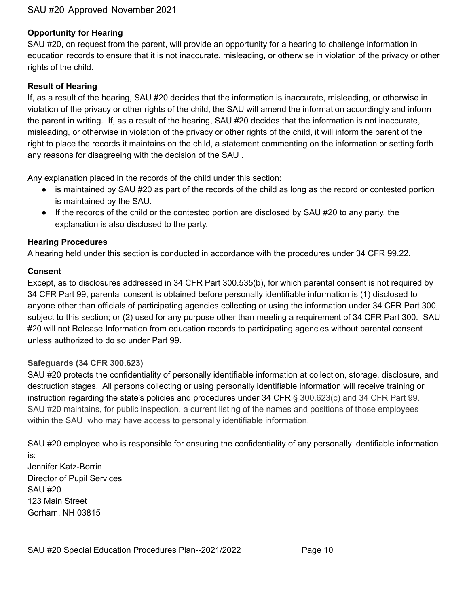#### **Opportunity for Hearing**

SAU #20, on request from the parent, will provide an opportunity for a hearing to challenge information in education records to ensure that it is not inaccurate, misleading, or otherwise in violation of the privacy or other rights of the child.

#### **Result of Hearing**

If, as a result of the hearing, SAU #20 decides that the information is inaccurate, misleading, or otherwise in violation of the privacy or other rights of the child, the SAU will amend the information accordingly and inform the parent in writing. If, as a result of the hearing, SAU #20 decides that the information is not inaccurate, misleading, or otherwise in violation of the privacy or other rights of the child, it will inform the parent of the right to place the records it maintains on the child, a statement commenting on the information or setting forth any reasons for disagreeing with the decision of the SAU .

Any explanation placed in the records of the child under this section:

- is maintained by SAU #20 as part of the records of the child as long as the record or contested portion is maintained by the SAU.
- If the records of the child or the contested portion are disclosed by SAU #20 to any party, the explanation is also disclosed to the party.

#### **Hearing Procedures**

A hearing held under this section is conducted in accordance with the procedures under 34 CFR 99.22.

#### **Consent**

Except, as to disclosures addressed in 34 CFR Part 300.535(b), for which parental consent is not required by 34 CFR Part 99, parental consent is obtained before personally identifiable information is (1) disclosed to anyone other than officials of participating agencies collecting or using the information under 34 CFR Part 300, subject to this section; or (2) used for any purpose other than meeting a requirement of 34 CFR Part 300. SAU #20 will not Release Information from education records to participating agencies without parental consent unless authorized to do so under Part 99.

#### **Safeguards (34 CFR 300.623)**

SAU #20 protects the confidentiality of personally identifiable information at collection, storage, disclosure, and destruction stages. All persons collecting or using personally identifiable information will receive training or instruction regarding the state's policies and procedures under 34 CFR § 300.623(c) and 34 CFR Part 99. SAU #20 maintains, for public inspection, a current listing of the names and positions of those employees within the SAU who may have access to personally identifiable information.

SAU #20 employee who is responsible for ensuring the confidentiality of any personally identifiable information is:

Jennifer Katz-Borrin Director of Pupil Services SAU #20 123 Main Street Gorham, NH 03815

SAU #20 Special Education Procedures Plan--2021/2022 Page 10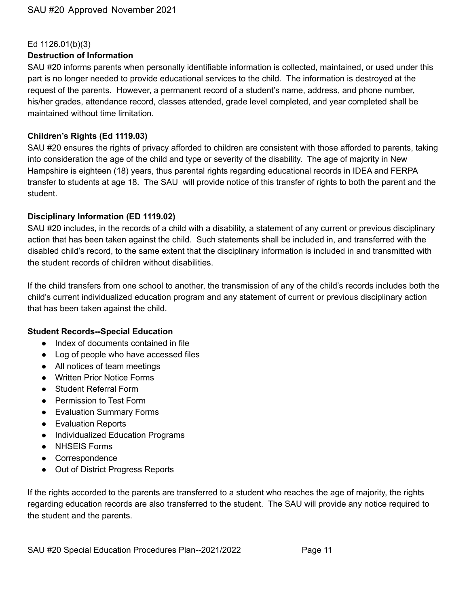#### Ed 1126.01(b)(3)

#### **Destruction of Information**

SAU #20 informs parents when personally identifiable information is collected, maintained, or used under this part is no longer needed to provide educational services to the child. The information is destroyed at the request of the parents. However, a permanent record of a student's name, address, and phone number, his/her grades, attendance record, classes attended, grade level completed, and year completed shall be maintained without time limitation.

#### **Children's Rights (Ed 1119.03)**

SAU #20 ensures the rights of privacy afforded to children are consistent with those afforded to parents, taking into consideration the age of the child and type or severity of the disability. The age of majority in New Hampshire is eighteen (18) years, thus parental rights regarding educational records in IDEA and FERPA transfer to students at age 18. The SAU will provide notice of this transfer of rights to both the parent and the student.

#### **Disciplinary Information (ED 1119.02)**

SAU #20 includes, in the records of a child with a disability, a statement of any current or previous disciplinary action that has been taken against the child. Such statements shall be included in, and transferred with the disabled child's record, to the same extent that the disciplinary information is included in and transmitted with the student records of children without disabilities.

If the child transfers from one school to another, the transmission of any of the child's records includes both the child's current individualized education program and any statement of current or previous disciplinary action that has been taken against the child.

#### **Student Records--Special Education**

- Index of documents contained in file
- Log of people who have accessed files
- All notices of team meetings
- Written Prior Notice Forms
- Student Referral Form
- Permission to Test Form
- Evaluation Summary Forms
- Evaluation Reports
- Individualized Education Programs
- NHSEIS Forms
- Correspondence
- Out of District Progress Reports

If the rights accorded to the parents are transferred to a student who reaches the age of majority, the rights regarding education records are also transferred to the student. The SAU will provide any notice required to the student and the parents.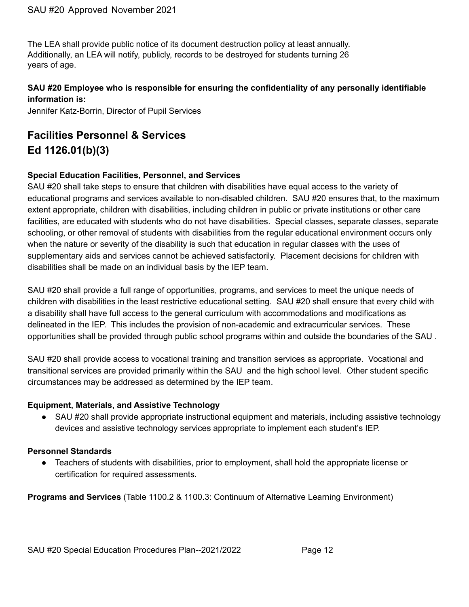The LEA shall provide public notice of its document destruction policy at least annually. Additionally, an LEA will notify, publicly, records to be destroyed for students turning 26 years of age.

## **SAU #20 Employee who is responsible for ensuring the confidentiality of any personally identifiable information is:**

Jennifer Katz-Borrin, Director of Pupil Services

## **Facilities Personnel & Services Ed 1126.01(b)(3)**

## **Special Education Facilities, Personnel, and Services**

SAU #20 shall take steps to ensure that children with disabilities have equal access to the variety of educational programs and services available to non-disabled children. SAU #20 ensures that, to the maximum extent appropriate, children with disabilities, including children in public or private institutions or other care facilities, are educated with students who do not have disabilities. Special classes, separate classes, separate schooling, or other removal of students with disabilities from the regular educational environment occurs only when the nature or severity of the disability is such that education in regular classes with the uses of supplementary aids and services cannot be achieved satisfactorily. Placement decisions for children with disabilities shall be made on an individual basis by the IEP team.

SAU #20 shall provide a full range of opportunities, programs, and services to meet the unique needs of children with disabilities in the least restrictive educational setting. SAU #20 shall ensure that every child with a disability shall have full access to the general curriculum with accommodations and modifications as delineated in the IEP. This includes the provision of non-academic and extracurricular services. These opportunities shall be provided through public school programs within and outside the boundaries of the SAU .

SAU #20 shall provide access to vocational training and transition services as appropriate. Vocational and transitional services are provided primarily within the SAU and the high school level. Other student specific circumstances may be addressed as determined by the IEP team.

#### **Equipment, Materials, and Assistive Technology**

● SAU #20 shall provide appropriate instructional equipment and materials, including assistive technology devices and assistive technology services appropriate to implement each student's IEP.

## **Personnel Standards**

● Teachers of students with disabilities, prior to employment, shall hold the appropriate license or certification for required assessments.

**Programs and Services** (Table 1100.2 & 1100.3: Continuum of Alternative Learning Environment)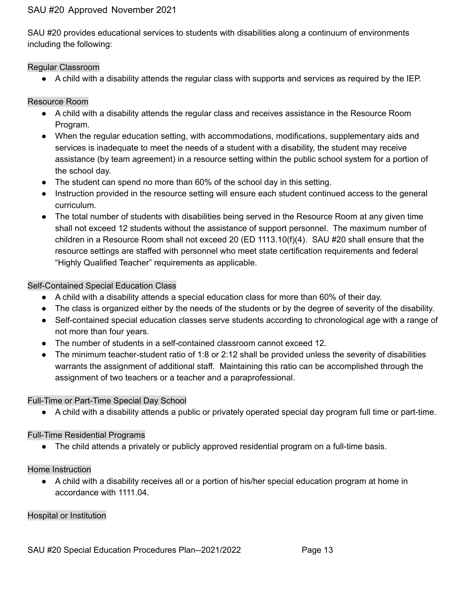SAU #20 provides educational services to students with disabilities along a continuum of environments including the following:

#### Regular Classroom

● A child with a disability attends the regular class with supports and services as required by the IEP.

#### Resource Room

- A child with a disability attends the regular class and receives assistance in the Resource Room Program.
- When the regular education setting, with accommodations, modifications, supplementary aids and services is inadequate to meet the needs of a student with a disability, the student may receive assistance (by team agreement) in a resource setting within the public school system for a portion of the school day.
- The student can spend no more than 60% of the school day in this setting.
- Instruction provided in the resource setting will ensure each student continued access to the general curriculum.
- The total number of students with disabilities being served in the Resource Room at any given time shall not exceed 12 students without the assistance of support personnel. The maximum number of children in a Resource Room shall not exceed 20 (ED 1113.10(f)(4). SAU #20 shall ensure that the resource settings are staffed with personnel who meet state certification requirements and federal "Highly Qualified Teacher" requirements as applicable.

#### Self-Contained Special Education Class

- A child with a disability attends a special education class for more than 60% of their day.
- The class is organized either by the needs of the students or by the degree of severity of the disability.
- Self-contained special education classes serve students according to chronological age with a range of not more than four years.
- The number of students in a self-contained classroom cannot exceed 12.
- The minimum teacher-student ratio of 1:8 or 2:12 shall be provided unless the severity of disabilities warrants the assignment of additional staff. Maintaining this ratio can be accomplished through the assignment of two teachers or a teacher and a paraprofessional.

#### Full-Time or Part-Time Special Day School

● A child with a disability attends a public or privately operated special day program full time or part-time.

#### Full-Time Residential Programs

● The child attends a privately or publicly approved residential program on a full-time basis.

#### Home Instruction

● A child with a disability receives all or a portion of his/her special education program at home in accordance with 1111.04.

#### Hospital or Institution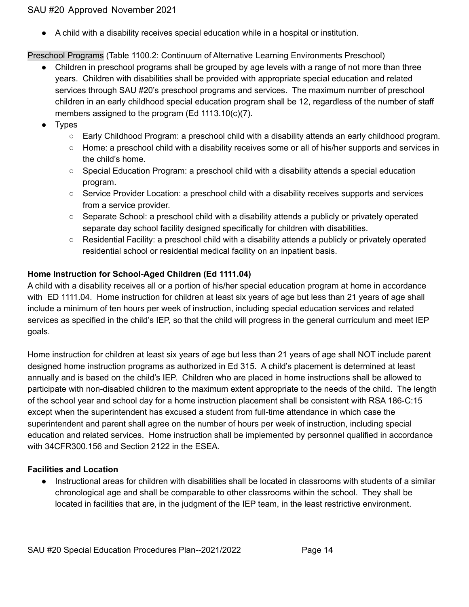● A child with a disability receives special education while in a hospital or institution.

Preschool Programs (Table 1100.2: Continuum of Alternative Learning Environments Preschool)

- Children in preschool programs shall be grouped by age levels with a range of not more than three years. Children with disabilities shall be provided with appropriate special education and related services through SAU #20's preschool programs and services. The maximum number of preschool children in an early childhood special education program shall be 12, regardless of the number of staff members assigned to the program (Ed 1113.10(c)(7).
- Types
	- Early Childhood Program: a preschool child with a disability attends an early childhood program.
	- Home: a preschool child with a disability receives some or all of his/her supports and services in the child's home.
	- $\circ$  Special Education Program: a preschool child with a disability attends a special education program.
	- Service Provider Location: a preschool child with a disability receives supports and services from a service provider.
	- Separate School: a preschool child with a disability attends a publicly or privately operated separate day school facility designed specifically for children with disabilities.
	- Residential Facility: a preschool child with a disability attends a publicly or privately operated residential school or residential medical facility on an inpatient basis.

## **Home Instruction for School-Aged Children (Ed 1111.04)**

A child with a disability receives all or a portion of his/her special education program at home in accordance with ED 1111.04. Home instruction for children at least six years of age but less than 21 years of age shall include a minimum of ten hours per week of instruction, including special education services and related services as specified in the child's IEP, so that the child will progress in the general curriculum and meet IEP goals.

Home instruction for children at least six years of age but less than 21 years of age shall NOT include parent designed home instruction programs as authorized in Ed 315. A child's placement is determined at least annually and is based on the child's IEP. Children who are placed in home instructions shall be allowed to participate with non-disabled children to the maximum extent appropriate to the needs of the child. The length of the school year and school day for a home instruction placement shall be consistent with RSA 186-C:15 except when the superintendent has excused a student from full-time attendance in which case the superintendent and parent shall agree on the number of hours per week of instruction, including special education and related services. Home instruction shall be implemented by personnel qualified in accordance with 34CFR300.156 and Section 2122 in the ESEA.

## **Facilities and Location**

● Instructional areas for children with disabilities shall be located in classrooms with students of a similar chronological age and shall be comparable to other classrooms within the school. They shall be located in facilities that are, in the judgment of the IEP team, in the least restrictive environment.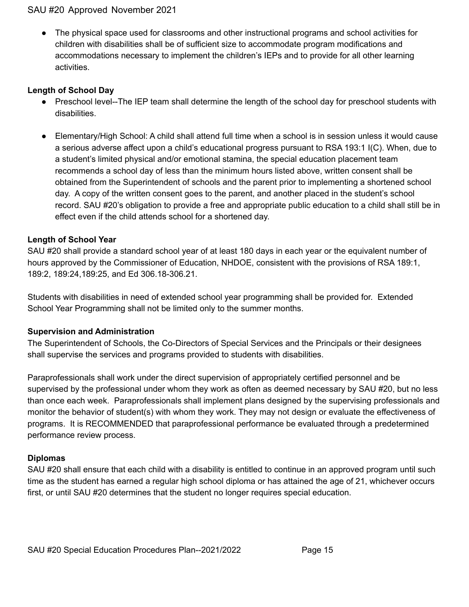● The physical space used for classrooms and other instructional programs and school activities for children with disabilities shall be of sufficient size to accommodate program modifications and accommodations necessary to implement the children's IEPs and to provide for all other learning activities.

#### **Length of School Day**

- Preschool level--The IEP team shall determine the length of the school day for preschool students with disabilities.
- Elementary/High School: A child shall attend full time when a school is in session unless it would cause a serious adverse affect upon a child's educational progress pursuant to RSA 193:1 I(C). When, due to a student's limited physical and/or emotional stamina, the special education placement team recommends a school day of less than the minimum hours listed above, written consent shall be obtained from the Superintendent of schools and the parent prior to implementing a shortened school day. A copy of the written consent goes to the parent, and another placed in the student's school record. SAU #20's obligation to provide a free and appropriate public education to a child shall still be in effect even if the child attends school for a shortened day.

#### **Length of School Year**

SAU #20 shall provide a standard school year of at least 180 days in each year or the equivalent number of hours approved by the Commissioner of Education, NHDOE, consistent with the provisions of RSA 189:1, 189:2, 189:24,189:25, and Ed 306.18-306.21.

Students with disabilities in need of extended school year programming shall be provided for. Extended School Year Programming shall not be limited only to the summer months.

#### **Supervision and Administration**

The Superintendent of Schools, the Co-Directors of Special Services and the Principals or their designees shall supervise the services and programs provided to students with disabilities.

Paraprofessionals shall work under the direct supervision of appropriately certified personnel and be supervised by the professional under whom they work as often as deemed necessary by SAU #20, but no less than once each week. Paraprofessionals shall implement plans designed by the supervising professionals and monitor the behavior of student(s) with whom they work. They may not design or evaluate the effectiveness of programs. It is RECOMMENDED that paraprofessional performance be evaluated through a predetermined performance review process.

#### **Diplomas**

SAU #20 shall ensure that each child with a disability is entitled to continue in an approved program until such time as the student has earned a regular high school diploma or has attained the age of 21, whichever occurs first, or until SAU #20 determines that the student no longer requires special education.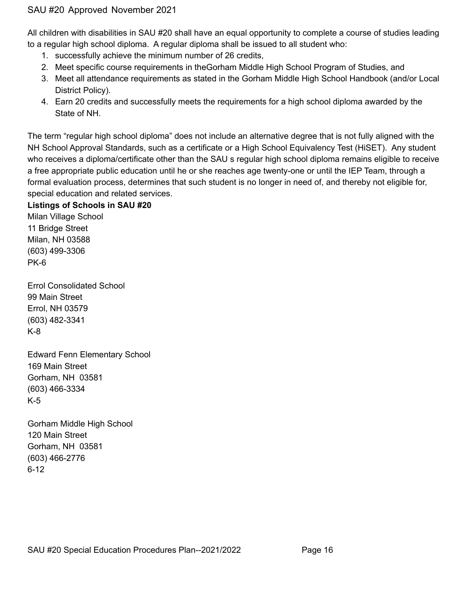All children with disabilities in SAU #20 shall have an equal opportunity to complete a course of studies leading to a regular high school diploma. A regular diploma shall be issued to all student who:

- 1. successfully achieve the minimum number of 26 credits,
- 2. Meet specific course requirements in theGorham Middle High School Program of Studies, and
- 3. Meet all attendance requirements as stated in the Gorham Middle High School Handbook (and/or Local District Policy).
- 4. Earn 20 credits and successfully meets the requirements for a high school diploma awarded by the State of NH.

The term "regular high school diploma" does not include an alternative degree that is not fully aligned with the NH School Approval Standards, such as a certificate or a High School Equivalency Test (HiSET). Any student who receives a diploma/certificate other than the SAU s regular high school diploma remains eligible to receive a free appropriate public education until he or she reaches age twenty-one or until the IEP Team, through a formal evaluation process, determines that such student is no longer in need of, and thereby not eligible for, special education and related services.

## **Listings of Schools in SAU #20**

Milan Village School 11 Bridge Street Milan, NH 03588 (603) 499-3306 PK-6

Errol Consolidated School 99 Main Street Errol, NH 03579 (603) 482-3341 K-8

Edward Fenn Elementary School 169 Main Street Gorham, NH 03581 (603) 466-3334 K-5

Gorham Middle High School 120 Main Street Gorham, NH 03581 (603) 466-2776 6-12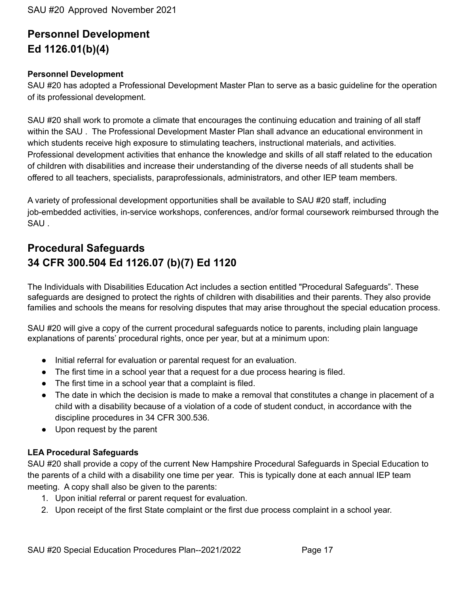## **Personnel Development Ed 1126.01(b)(4)**

#### **Personnel Development**

SAU #20 has adopted a Professional Development Master Plan to serve as a basic guideline for the operation of its professional development.

SAU #20 shall work to promote a climate that encourages the continuing education and training of all staff within the SAU . The Professional Development Master Plan shall advance an educational environment in which students receive high exposure to stimulating teachers, instructional materials, and activities. Professional development activities that enhance the knowledge and skills of all staff related to the education of children with disabilities and increase their understanding of the diverse needs of all students shall be offered to all teachers, specialists, paraprofessionals, administrators, and other IEP team members.

A variety of professional development opportunities shall be available to SAU #20 staff, including job-embedded activities, in-service workshops, conferences, and/or formal coursework reimbursed through the SAU .

## **Procedural Safeguards 34 CFR 300.504 Ed 1126.07 (b)(7) Ed 1120**

The Individuals with Disabilities Education Act includes a section entitled "Procedural Safeguards". These safeguards are designed to protect the rights of children with disabilities and their parents. They also provide families and schools the means for resolving disputes that may arise throughout the special education process.

SAU #20 will give a copy of the current procedural safeguards notice to parents, including plain language explanations of parents' procedural rights, once per year, but at a minimum upon:

- Initial referral for evaluation or parental request for an evaluation.
- The first time in a school year that a request for a due process hearing is filed.
- The first time in a school year that a complaint is filed.
- The date in which the decision is made to make a removal that constitutes a change in placement of a child with a disability because of a violation of a code of student conduct, in accordance with the discipline procedures in 34 CFR 300.536.
- Upon request by the parent

#### **LEA Procedural Safeguards**

SAU #20 shall provide a copy of the current New Hampshire Procedural Safeguards in Special Education to the parents of a child with a disability one time per year. This is typically done at each annual IEP team meeting. A copy shall also be given to the parents:

- 1. Upon initial referral or parent request for evaluation.
- 2. Upon receipt of the first State complaint or the first due process complaint in a school year.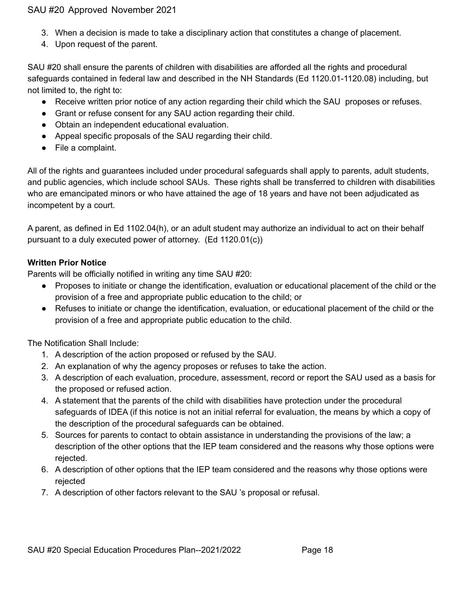- 3. When a decision is made to take a disciplinary action that constitutes a change of placement.
- 4. Upon request of the parent.

SAU #20 shall ensure the parents of children with disabilities are afforded all the rights and procedural safeguards contained in federal law and described in the NH Standards (Ed 1120.01-1120.08) including, but not limited to, the right to:

- Receive written prior notice of any action regarding their child which the SAU proposes or refuses.
- Grant or refuse consent for any SAU action regarding their child.
- Obtain an independent educational evaluation.
- Appeal specific proposals of the SAU regarding their child.
- File a complaint.

All of the rights and guarantees included under procedural safeguards shall apply to parents, adult students, and public agencies, which include school SAUs. These rights shall be transferred to children with disabilities who are emancipated minors or who have attained the age of 18 years and have not been adjudicated as incompetent by a court.

A parent, as defined in Ed 1102.04(h), or an adult student may authorize an individual to act on their behalf pursuant to a duly executed power of attorney. (Ed 1120.01(c))

#### **Written Prior Notice**

Parents will be officially notified in writing any time SAU #20:

- Proposes to initiate or change the identification, evaluation or educational placement of the child or the provision of a free and appropriate public education to the child; or
- Refuses to initiate or change the identification, evaluation, or educational placement of the child or the provision of a free and appropriate public education to the child.

The Notification Shall Include:

- 1. A description of the action proposed or refused by the SAU.
- 2. An explanation of why the agency proposes or refuses to take the action.
- 3. A description of each evaluation, procedure, assessment, record or report the SAU used as a basis for the proposed or refused action.
- 4. A statement that the parents of the child with disabilities have protection under the procedural safeguards of IDEA (if this notice is not an initial referral for evaluation, the means by which a copy of the description of the procedural safeguards can be obtained.
- 5. Sources for parents to contact to obtain assistance in understanding the provisions of the law; a description of the other options that the IEP team considered and the reasons why those options were rejected.
- 6. A description of other options that the IEP team considered and the reasons why those options were rejected
- 7. A description of other factors relevant to the SAU 's proposal or refusal.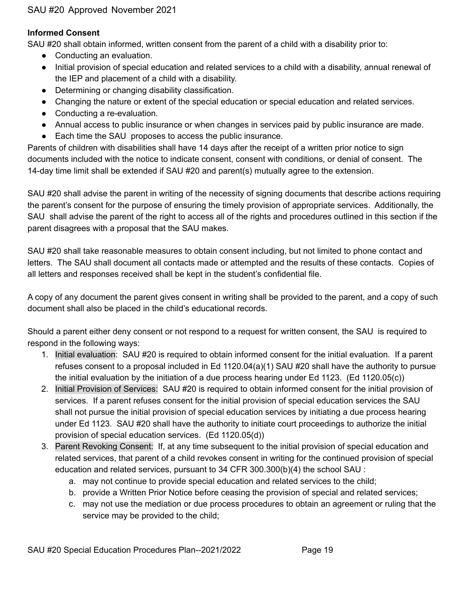#### **Informed Consent**

SAU #20 shall obtain informed, written consent from the parent of a child with a disability prior to:

- Conducting an evaluation.
- Initial provision of special education and related services to a child with a disability, annual renewal of the IEP and placement of a child with a disability.
- Determining or changing disability classification.
- Changing the nature or extent of the special education or special education and related services.
- Conducting a re-evaluation.
- Annual access to public insurance or when changes in services paid by public insurance are made.
- Each time the SAU proposes to access the public insurance.

Parents of children with disabilities shall have 14 days after the receipt of a written prior notice to sign documents included with the notice to indicate consent, consent with conditions, or denial of consent. The 14-day time limit shall be extended if SAU #20 and parent(s) mutually agree to the extension.

SAU #20 shall advise the parent in writing of the necessity of signing documents that describe actions requiring the parent's consent for the purpose of ensuring the timely provision of appropriate services. Additionally, the SAU shall advise the parent of the right to access all of the rights and procedures outlined in this section if the parent disagrees with a proposal that the SAU makes.

SAU #20 shall take reasonable measures to obtain consent including, but not limited to phone contact and letters. The SAU shall document all contacts made or attempted and the results of these contacts. Copies of all letters and responses received shall be kept in the student's confidential file.

A copy of any document the parent gives consent in writing shall be provided to the parent, and a copy of such document shall also be placed in the child's educational records.

Should a parent either deny consent or not respond to a request for written consent, the SAU is required to respond in the following ways:

- 1. Initial evaluation: SAU #20 is required to obtain informed consent for the initial evaluation. If a parent refuses consent to a proposal included in Ed 1120.04(a)(1) SAU #20 shall have the authority to pursue the initial evaluation by the initiation of a due process hearing under Ed 1123. (Ed 1120.05(c))
- 2. Initial Provision of Services: SAU #20 is required to obtain informed consent for the initial provision of services. If a parent refuses consent for the initial provision of special education services the SAU shall not pursue the initial provision of special education services by initiating a due process hearing under Ed 1123. SAU #20 shall have the authority to initiate court proceedings to authorize the initial provision of special education services. (Ed 1120.05(d))
- 3. Parent Revoking Consent: If, at any time subsequent to the initial provision of special education and related services, that parent of a child revokes consent in writing for the continued provision of special education and related services, pursuant to 34 CFR 300.300(b)(4) the school SAU :
	- a. may not continue to provide special education and related services to the child;
	- b. provide a Written Prior Notice before ceasing the provision of special and related services;
	- c. may not use the mediation or due process procedures to obtain an agreement or ruling that the service may be provided to the child;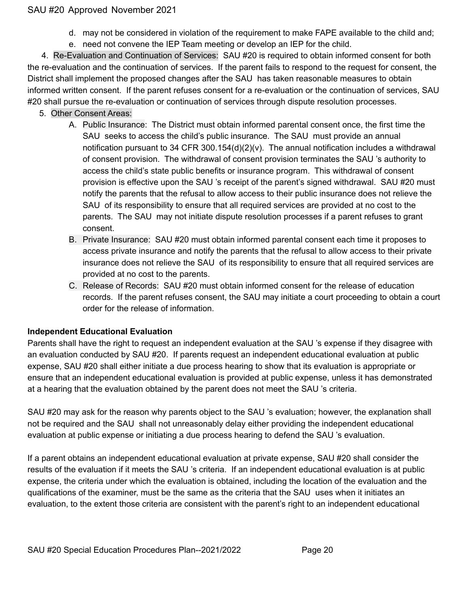- d. may not be considered in violation of the requirement to make FAPE available to the child and;
- e. need not convene the IEP Team meeting or develop an IEP for the child.

4. Re-Evaluation and Continuation of Services: SAU #20 is required to obtain informed consent for both the re-evaluation and the continuation of services. If the parent fails to respond to the request for consent, the District shall implement the proposed changes after the SAU has taken reasonable measures to obtain informed written consent. If the parent refuses consent for a re-evaluation or the continuation of services, SAU #20 shall pursue the re-evaluation or continuation of services through dispute resolution processes.

- 5. Other Consent Areas:
	- A. Public Insurance: The District must obtain informed parental consent once, the first time the SAU seeks to access the child's public insurance. The SAU must provide an annual notification pursuant to 34 CFR 300.154(d)(2)(v). The annual notification includes a withdrawal of consent provision. The withdrawal of consent provision terminates the SAU 's authority to access the child's state public benefits or insurance program. This withdrawal of consent provision is effective upon the SAU 's receipt of the parent's signed withdrawal. SAU #20 must notify the parents that the refusal to allow access to their public insurance does not relieve the SAU of its responsibility to ensure that all required services are provided at no cost to the parents. The SAU may not initiate dispute resolution processes if a parent refuses to grant consent.
	- B. Private Insurance: SAU #20 must obtain informed parental consent each time it proposes to access private insurance and notify the parents that the refusal to allow access to their private insurance does not relieve the SAU of its responsibility to ensure that all required services are provided at no cost to the parents.
	- C. Release of Records: SAU #20 must obtain informed consent for the release of education records. If the parent refuses consent, the SAU may initiate a court proceeding to obtain a court order for the release of information.

## **Independent Educational Evaluation**

Parents shall have the right to request an independent evaluation at the SAU 's expense if they disagree with an evaluation conducted by SAU #20. If parents request an independent educational evaluation at public expense, SAU #20 shall either initiate a due process hearing to show that its evaluation is appropriate or ensure that an independent educational evaluation is provided at public expense, unless it has demonstrated at a hearing that the evaluation obtained by the parent does not meet the SAU 's criteria.

SAU #20 may ask for the reason why parents object to the SAU 's evaluation; however, the explanation shall not be required and the SAU shall not unreasonably delay either providing the independent educational evaluation at public expense or initiating a due process hearing to defend the SAU 's evaluation.

If a parent obtains an independent educational evaluation at private expense, SAU #20 shall consider the results of the evaluation if it meets the SAU 's criteria. If an independent educational evaluation is at public expense, the criteria under which the evaluation is obtained, including the location of the evaluation and the qualifications of the examiner, must be the same as the criteria that the SAU uses when it initiates an evaluation, to the extent those criteria are consistent with the parent's right to an independent educational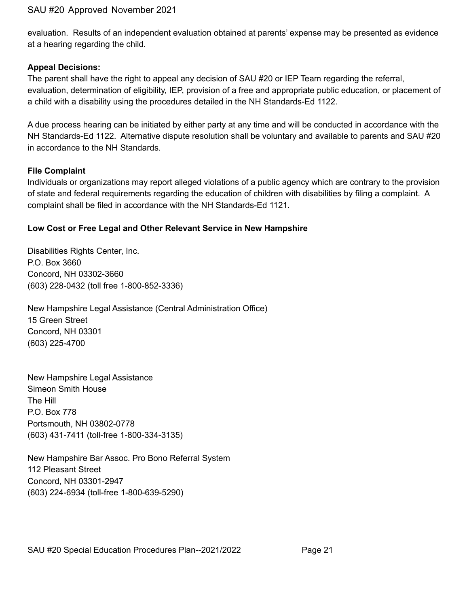evaluation. Results of an independent evaluation obtained at parents' expense may be presented as evidence at a hearing regarding the child.

#### **Appeal Decisions:**

The parent shall have the right to appeal any decision of SAU #20 or IEP Team regarding the referral, evaluation, determination of eligibility, IEP, provision of a free and appropriate public education, or placement of a child with a disability using the procedures detailed in the NH Standards-Ed 1122.

A due process hearing can be initiated by either party at any time and will be conducted in accordance with the NH Standards-Ed 1122. Alternative dispute resolution shall be voluntary and available to parents and SAU #20 in accordance to the NH Standards.

#### **File Complaint**

Individuals or organizations may report alleged violations of a public agency which are contrary to the provision of state and federal requirements regarding the education of children with disabilities by filing a complaint. A complaint shall be filed in accordance with the NH Standards-Ed 1121.

#### **Low Cost or Free Legal and Other Relevant Service in New Hampshire**

Disabilities Rights Center, Inc. P.O. Box 3660 Concord, NH 03302-3660 (603) 228-0432 (toll free 1-800-852-3336)

New Hampshire Legal Assistance (Central Administration Office) 15 Green Street Concord, NH 03301 (603) 225-4700

New Hampshire Legal Assistance Simeon Smith House The Hill P.O. Box 778 Portsmouth, NH 03802-0778 (603) 431-7411 (toll-free 1-800-334-3135)

New Hampshire Bar Assoc. Pro Bono Referral System 112 Pleasant Street Concord, NH 03301-2947 (603) 224-6934 (toll-free 1-800-639-5290)

SAU #20 Special Education Procedures Plan--2021/2022 Page 21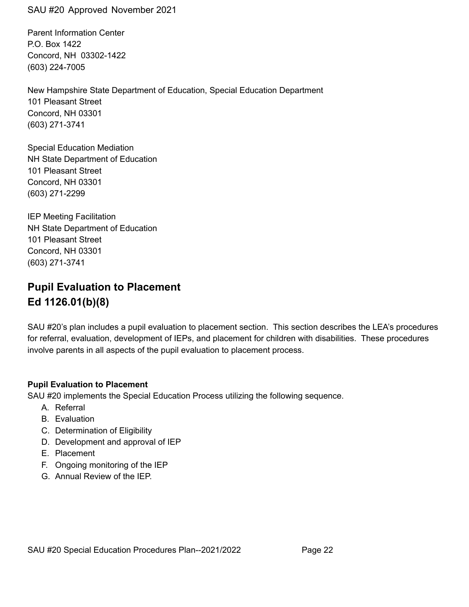Parent Information Center P.O. Box 1422 Concord, NH 03302-1422 (603) 224-7005

New Hampshire State Department of Education, Special Education Department 101 Pleasant Street Concord, NH 03301 (603) 271-3741

Special Education Mediation NH State Department of Education 101 Pleasant Street Concord, NH 03301 (603) 271-2299

IEP Meeting Facilitation NH State Department of Education 101 Pleasant Street Concord, NH 03301 (603) 271-3741

## **Pupil Evaluation to Placement Ed 1126.01(b)(8)**

SAU #20's plan includes a pupil evaluation to placement section. This section describes the LEA's procedures for referral, evaluation, development of IEPs, and placement for children with disabilities. These procedures involve parents in all aspects of the pupil evaluation to placement process.

#### **Pupil Evaluation to Placement**

SAU #20 implements the Special Education Process utilizing the following sequence.

- A. Referral
- B. Evaluation
- C. Determination of Eligibility
- D. Development and approval of IEP
- E. Placement
- F. Ongoing monitoring of the IEP
- G. Annual Review of the IEP.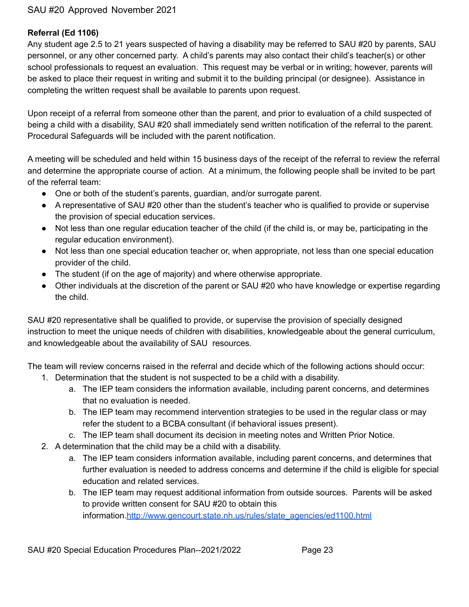### **Referral (Ed 1106)**

Any student age 2.5 to 21 years suspected of having a disability may be referred to SAU #20 by parents, SAU personnel, or any other concerned party. A child's parents may also contact their child's teacher(s) or other school professionals to request an evaluation. This request may be verbal or in writing; however, parents will be asked to place their request in writing and submit it to the building principal (or designee). Assistance in completing the written request shall be available to parents upon request.

Upon receipt of a referral from someone other than the parent, and prior to evaluation of a child suspected of being a child with a disability, SAU #20 shall immediately send written notification of the referral to the parent. Procedural Safeguards will be included with the parent notification.

A meeting will be scheduled and held within 15 business days of the receipt of the referral to review the referral and determine the appropriate course of action. At a minimum, the following people shall be invited to be part of the referral team:

- One or both of the student's parents, guardian, and/or surrogate parent.
- A representative of SAU #20 other than the student's teacher who is qualified to provide or supervise the provision of special education services.
- Not less than one regular education teacher of the child (if the child is, or may be, participating in the regular education environment).
- Not less than one special education teacher or, when appropriate, not less than one special education provider of the child.
- The student (if on the age of majority) and where otherwise appropriate.
- Other individuals at the discretion of the parent or SAU #20 who have knowledge or expertise regarding the child.

SAU #20 representative shall be qualified to provide, or supervise the provision of specially designed instruction to meet the unique needs of children with disabilities, knowledgeable about the general curriculum, and knowledgeable about the availability of SAU resources.

The team will review concerns raised in the referral and decide which of the following actions should occur:

- 1. Determination that the student is not suspected to be a child with a disability.
	- a. The IEP team considers the information available, including parent concerns, and determines that no evaluation is needed.
	- b. The IEP team may recommend intervention strategies to be used in the regular class or may refer the student to a BCBA consultant (if behavioral issues present).
	- c. The IEP team shall document its decision in meeting notes and Written Prior Notice.
- 2. A determination that the child may be a child with a disability.
	- a. The IEP team considers information available, including parent concerns, and determines that further evaluation is needed to address concerns and determine if the child is eligible for special education and related services.
	- b. The IEP team may request additional information from outside sources. Parents will be asked to provide written consent for SAU #20 to obtain this information[.http://www.gencourt.state.nh.us/rules/state\\_agencies/ed1100.html](http://www.gencourt.state.nh.us/rules/state_agencies/ed1100.html)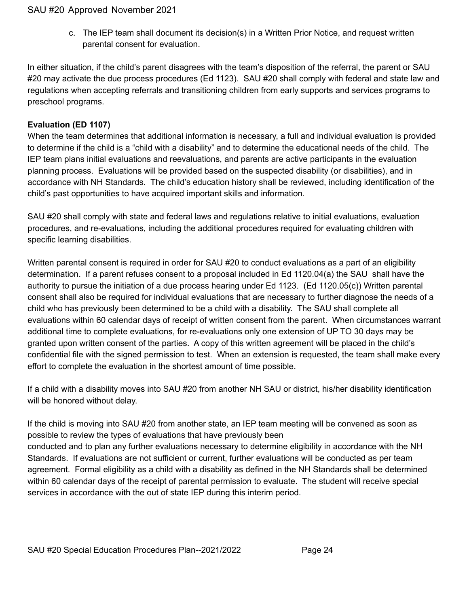c. The IEP team shall document its decision(s) in a Written Prior Notice, and request written parental consent for evaluation.

In either situation, if the child's parent disagrees with the team's disposition of the referral, the parent or SAU #20 may activate the due process procedures (Ed 1123). SAU #20 shall comply with federal and state law and regulations when accepting referrals and transitioning children from early supports and services programs to preschool programs.

#### **Evaluation (ED 1107)**

When the team determines that additional information is necessary, a full and individual evaluation is provided to determine if the child is a "child with a disability" and to determine the educational needs of the child. The IEP team plans initial evaluations and reevaluations, and parents are active participants in the evaluation planning process. Evaluations will be provided based on the suspected disability (or disabilities), and in accordance with NH Standards. The child's education history shall be reviewed, including identification of the child's past opportunities to have acquired important skills and information.

SAU #20 shall comply with state and federal laws and regulations relative to initial evaluations, evaluation procedures, and re-evaluations, including the additional procedures required for evaluating children with specific learning disabilities.

Written parental consent is required in order for SAU #20 to conduct evaluations as a part of an eligibility determination. If a parent refuses consent to a proposal included in Ed 1120.04(a) the SAU shall have the authority to pursue the initiation of a due process hearing under Ed 1123. (Ed 1120.05(c)) Written parental consent shall also be required for individual evaluations that are necessary to further diagnose the needs of a child who has previously been determined to be a child with a disability. The SAU shall complete all evaluations within 60 calendar days of receipt of written consent from the parent. When circumstances warrant additional time to complete evaluations, for re-evaluations only one extension of UP TO 30 days may be granted upon written consent of the parties. A copy of this written agreement will be placed in the child's confidential file with the signed permission to test. When an extension is requested, the team shall make every effort to complete the evaluation in the shortest amount of time possible.

If a child with a disability moves into SAU #20 from another NH SAU or district, his/her disability identification will be honored without delay.

If the child is moving into SAU #20 from another state, an IEP team meeting will be convened as soon as possible to review the types of evaluations that have previously been conducted and to plan any further evaluations necessary to determine eligibility in accordance with the NH Standards. If evaluations are not sufficient or current, further evaluations will be conducted as per team agreement. Formal eligibility as a child with a disability as defined in the NH Standards shall be determined within 60 calendar days of the receipt of parental permission to evaluate. The student will receive special services in accordance with the out of state IEP during this interim period.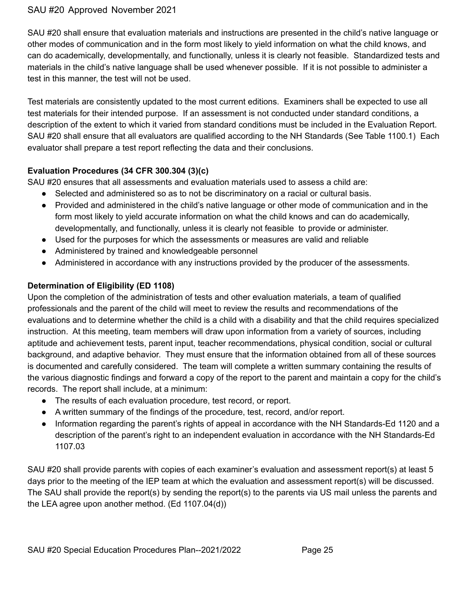SAU #20 shall ensure that evaluation materials and instructions are presented in the child's native language or other modes of communication and in the form most likely to yield information on what the child knows, and can do academically, developmentally, and functionally, unless it is clearly not feasible. Standardized tests and materials in the child's native language shall be used whenever possible. If it is not possible to administer a test in this manner, the test will not be used.

Test materials are consistently updated to the most current editions. Examiners shall be expected to use all test materials for their intended purpose. If an assessment is not conducted under standard conditions, a description of the extent to which it varied from standard conditions must be included in the Evaluation Report. SAU #20 shall ensure that all evaluators are qualified according to the NH Standards (See Table 1100.1) Each evaluator shall prepare a test report reflecting the data and their conclusions.

## **Evaluation Procedures (34 CFR 300.304 (3)(c)**

SAU #20 ensures that all assessments and evaluation materials used to assess a child are:

- Selected and administered so as to not be discriminatory on a racial or cultural basis.
- Provided and administered in the child's native language or other mode of communication and in the form most likely to yield accurate information on what the child knows and can do academically, developmentally, and functionally, unless it is clearly not feasible to provide or administer.
- Used for the purposes for which the assessments or measures are valid and reliable
- Administered by trained and knowledgeable personnel
- Administered in accordance with any instructions provided by the producer of the assessments.

## **Determination of Eligibility (ED 1108)**

Upon the completion of the administration of tests and other evaluation materials, a team of qualified professionals and the parent of the child will meet to review the results and recommendations of the evaluations and to determine whether the child is a child with a disability and that the child requires specialized instruction. At this meeting, team members will draw upon information from a variety of sources, including aptitude and achievement tests, parent input, teacher recommendations, physical condition, social or cultural background, and adaptive behavior. They must ensure that the information obtained from all of these sources is documented and carefully considered. The team will complete a written summary containing the results of the various diagnostic findings and forward a copy of the report to the parent and maintain a copy for the child's records. The report shall include, at a minimum:

- The results of each evaluation procedure, test record, or report.
- A written summary of the findings of the procedure, test, record, and/or report.
- Information regarding the parent's rights of appeal in accordance with the NH Standards-Ed 1120 and a description of the parent's right to an independent evaluation in accordance with the NH Standards-Ed 1107.03

SAU #20 shall provide parents with copies of each examiner's evaluation and assessment report(s) at least 5 days prior to the meeting of the IEP team at which the evaluation and assessment report(s) will be discussed. The SAU shall provide the report(s) by sending the report(s) to the parents via US mail unless the parents and the LEA agree upon another method. (Ed 1107.04(d))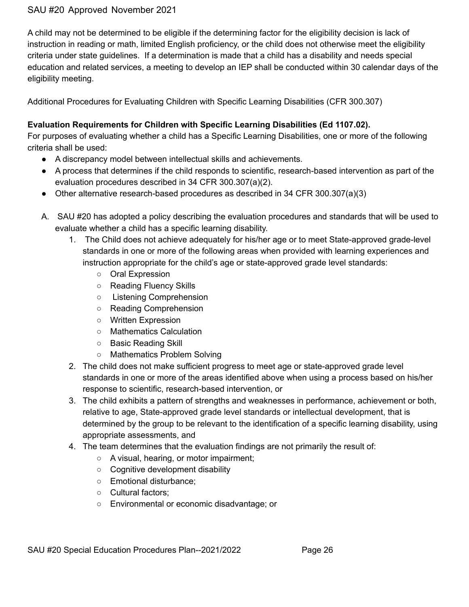A child may not be determined to be eligible if the determining factor for the eligibility decision is lack of instruction in reading or math, limited English proficiency, or the child does not otherwise meet the eligibility criteria under state guidelines. If a determination is made that a child has a disability and needs special education and related services, a meeting to develop an IEP shall be conducted within 30 calendar days of the eligibility meeting.

Additional Procedures for Evaluating Children with Specific Learning Disabilities (CFR 300.307)

## **Evaluation Requirements for Children with Specific Learning Disabilities (Ed 1107.02).**

For purposes of evaluating whether a child has a Specific Learning Disabilities, one or more of the following criteria shall be used:

- A discrepancy model between intellectual skills and achievements.
- A process that determines if the child responds to scientific, research-based intervention as part of the evaluation procedures described in 34 CFR 300.307(a)(2).
- Other alternative research-based procedures as described in 34 CFR 300.307(a)(3)
- A. SAU #20 has adopted a policy describing the evaluation procedures and standards that will be used to evaluate whether a child has a specific learning disability.
	- 1. The Child does not achieve adequately for his/her age or to meet State-approved grade-level standards in one or more of the following areas when provided with learning experiences and instruction appropriate for the child's age or state-approved grade level standards:
		- Oral Expression
		- Reading Fluency Skills
		- Listening Comprehension
		- Reading Comprehension
		- Written Expression
		- Mathematics Calculation
		- Basic Reading Skill
		- Mathematics Problem Solving
	- 2. The child does not make sufficient progress to meet age or state-approved grade level standards in one or more of the areas identified above when using a process based on his/her response to scientific, research-based intervention, or
	- 3. The child exhibits a pattern of strengths and weaknesses in performance, achievement or both, relative to age, State-approved grade level standards or intellectual development, that is determined by the group to be relevant to the identification of a specific learning disability, using appropriate assessments, and
	- 4. The team determines that the evaluation findings are not primarily the result of:
		- A visual, hearing, or motor impairment;
		- Cognitive development disability
		- Emotional disturbance;
		- Cultural factors;
		- Environmental or economic disadvantage; or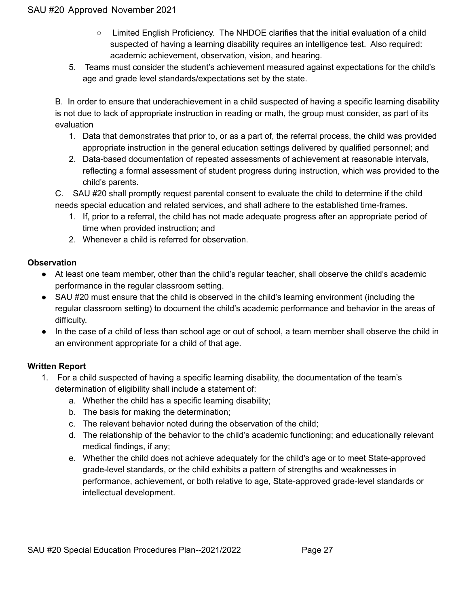- Limited English Proficiency. The NHDOE clarifies that the initial evaluation of a child suspected of having a learning disability requires an intelligence test. Also required: academic achievement, observation, vision, and hearing.
- 5. Teams must consider the student's achievement measured against expectations for the child's age and grade level standards/expectations set by the state.

B. In order to ensure that underachievement in a child suspected of having a specific learning disability is not due to lack of appropriate instruction in reading or math, the group must consider, as part of its evaluation

- 1. Data that demonstrates that prior to, or as a part of, the referral process, the child was provided appropriate instruction in the general education settings delivered by qualified personnel; and
- 2. Data-based documentation of repeated assessments of achievement at reasonable intervals, reflecting a formal assessment of student progress during instruction, which was provided to the child's parents.

C. SAU #20 shall promptly request parental consent to evaluate the child to determine if the child needs special education and related services, and shall adhere to the established time-frames.

- 1. If, prior to a referral, the child has not made adequate progress after an appropriate period of time when provided instruction; and
- 2. Whenever a child is referred for observation.

## **Observation**

- At least one team member, other than the child's regular teacher, shall observe the child's academic performance in the regular classroom setting.
- SAU #20 must ensure that the child is observed in the child's learning environment (including the regular classroom setting) to document the child's academic performance and behavior in the areas of difficulty.
- In the case of a child of less than school age or out of school, a team member shall observe the child in an environment appropriate for a child of that age.

#### **Written Report**

- 1. For a child suspected of having a specific learning disability, the documentation of the team's determination of eligibility shall include a statement of:
	- a. Whether the child has a specific learning disability;
	- b. The basis for making the determination;
	- c. The relevant behavior noted during the observation of the child;
	- d. The relationship of the behavior to the child's academic functioning; and educationally relevant medical findings, if any;
	- e. Whether the child does not achieve adequately for the child's age or to meet State-approved grade-level standards, or the child exhibits a pattern of strengths and weaknesses in performance, achievement, or both relative to age, State-approved grade-level standards or intellectual development.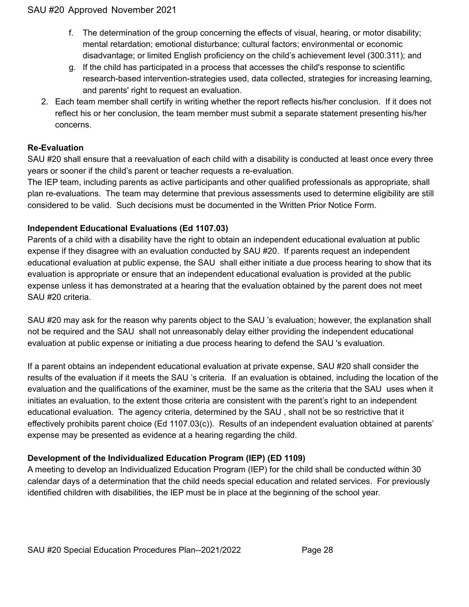- f. The determination of the group concerning the effects of visual, hearing, or motor disability; mental retardation; emotional disturbance; cultural factors; environmental or economic disadvantage; or limited English proficiency on the child's achievement level (300.311); and
- g. If the child has participated in a process that accesses the child's response to scientific research-based intervention-strategies used, data collected, strategies for increasing learning, and parents' right to request an evaluation.
- 2. Each team member shall certify in writing whether the report reflects his/her conclusion. If it does not reflect his or her conclusion, the team member must submit a separate statement presenting his/her concerns.

## **Re-Evaluation**

SAU #20 shall ensure that a reevaluation of each child with a disability is conducted at least once every three years or sooner if the child's parent or teacher requests a re-evaluation.

The IEP team, including parents as active participants and other qualified professionals as appropriate, shall plan re-evaluations. The team may determine that previous assessments used to determine eligibility are still considered to be valid. Such decisions must be documented in the Written Prior Notice Form.

## **Independent Educational Evaluations (Ed 1107.03)**

Parents of a child with a disability have the right to obtain an independent educational evaluation at public expense if they disagree with an evaluation conducted by SAU #20. If parents request an independent educational evaluation at public expense, the SAU shall either initiate a due process hearing to show that its evaluation is appropriate or ensure that an independent educational evaluation is provided at the public expense unless it has demonstrated at a hearing that the evaluation obtained by the parent does not meet SAU #20 criteria.

SAU #20 may ask for the reason why parents object to the SAU 's evaluation; however, the explanation shall not be required and the SAU shall not unreasonably delay either providing the independent educational evaluation at public expense or initiating a due process hearing to defend the SAU 's evaluation.

If a parent obtains an independent educational evaluation at private expense, SAU #20 shall consider the results of the evaluation if it meets the SAU 's criteria. If an evaluation is obtained, including the location of the evaluation and the qualifications of the examiner, must be the same as the criteria that the SAU uses when it initiates an evaluation, to the extent those criteria are consistent with the parent's right to an independent educational evaluation. The agency criteria, determined by the SAU , shall not be so restrictive that it effectively prohibits parent choice (Ed 1107.03(c)). Results of an independent evaluation obtained at parents' expense may be presented as evidence at a hearing regarding the child.

## **Development of the Individualized Education Program (IEP) (ED 1109)**

A meeting to develop an Individualized Education Program (IEP) for the child shall be conducted within 30 calendar days of a determination that the child needs special education and related services. For previously identified children with disabilities, the IEP must be in place at the beginning of the school year.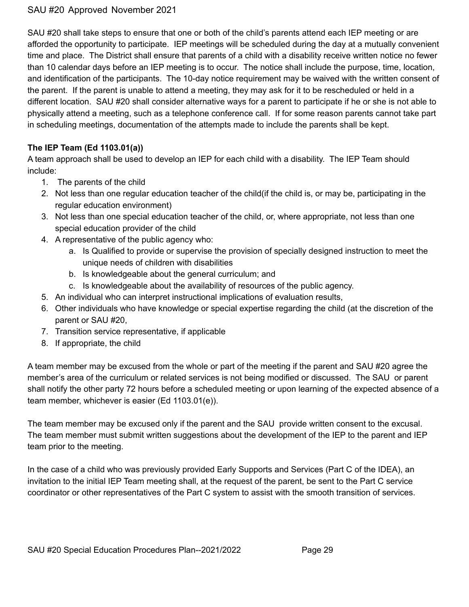SAU #20 shall take steps to ensure that one or both of the child's parents attend each IEP meeting or are afforded the opportunity to participate. IEP meetings will be scheduled during the day at a mutually convenient time and place. The District shall ensure that parents of a child with a disability receive written notice no fewer than 10 calendar days before an IEP meeting is to occur. The notice shall include the purpose, time, location, and identification of the participants. The 10-day notice requirement may be waived with the written consent of the parent. If the parent is unable to attend a meeting, they may ask for it to be rescheduled or held in a different location. SAU #20 shall consider alternative ways for a parent to participate if he or she is not able to physically attend a meeting, such as a telephone conference call. If for some reason parents cannot take part in scheduling meetings, documentation of the attempts made to include the parents shall be kept.

## **The IEP Team (Ed 1103.01(a))**

A team approach shall be used to develop an IEP for each child with a disability. The IEP Team should include:

- 1. The parents of the child
- 2. Not less than one regular education teacher of the child(if the child is, or may be, participating in the regular education environment)
- 3. Not less than one special education teacher of the child, or, where appropriate, not less than one special education provider of the child
- 4. A representative of the public agency who:
	- a. Is Qualified to provide or supervise the provision of specially designed instruction to meet the unique needs of children with disabilities
		- b. Is knowledgeable about the general curriculum; and
		- c. Is knowledgeable about the availability of resources of the public agency.
- 5. An individual who can interpret instructional implications of evaluation results,
- 6. Other individuals who have knowledge or special expertise regarding the child (at the discretion of the parent or SAU #20,
- 7. Transition service representative, if applicable
- 8. If appropriate, the child

A team member may be excused from the whole or part of the meeting if the parent and SAU #20 agree the member's area of the curriculum or related services is not being modified or discussed. The SAU or parent shall notify the other party 72 hours before a scheduled meeting or upon learning of the expected absence of a team member, whichever is easier (Ed 1103.01(e)).

The team member may be excused only if the parent and the SAU provide written consent to the excusal. The team member must submit written suggestions about the development of the IEP to the parent and IEP team prior to the meeting.

In the case of a child who was previously provided Early Supports and Services (Part C of the IDEA), an invitation to the initial IEP Team meeting shall, at the request of the parent, be sent to the Part C service coordinator or other representatives of the Part C system to assist with the smooth transition of services.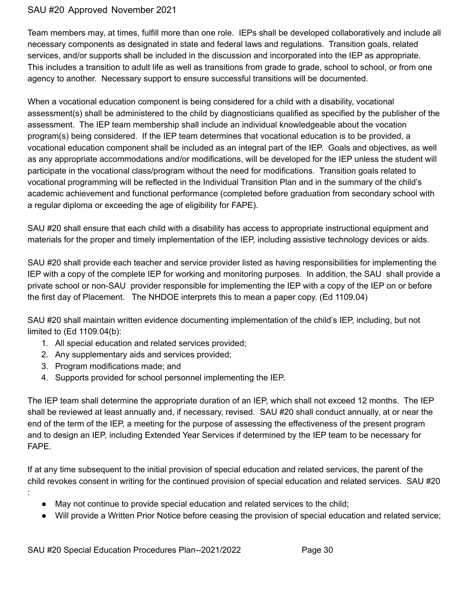Team members may, at times, fulfill more than one role. IEPs shall be developed collaboratively and include all necessary components as designated in state and federal laws and regulations. Transition goals, related services, and/or supports shall be included in the discussion and incorporated into the IEP as appropriate. This includes a transition to adult life as well as transitions from grade to grade, school to school, or from one agency to another. Necessary support to ensure successful transitions will be documented.

When a vocational education component is being considered for a child with a disability, vocational assessment(s) shall be administered to the child by diagnosticians qualified as specified by the publisher of the assessment. The IEP team membership shall include an individual knowledgeable about the vocation program(s) being considered. If the IEP team determines that vocational education is to be provided, a vocational education component shall be included as an integral part of the IEP. Goals and objectives, as well as any appropriate accommodations and/or modifications, will be developed for the IEP unless the student will participate in the vocational class/program without the need for modifications. Transition goals related to vocational programming will be reflected in the Individual Transition Plan and in the summary of the child's academic achievement and functional performance (completed before graduation from secondary school with a regular diploma or exceeding the age of eligibility for FAPE).

SAU #20 shall ensure that each child with a disability has access to appropriate instructional equipment and materials for the proper and timely implementation of the IEP, including assistive technology devices or aids.

SAU #20 shall provide each teacher and service provider listed as having responsibilities for implementing the IEP with a copy of the complete IEP for working and monitoring purposes. In addition, the SAU shall provide a private school or non-SAU provider responsible for implementing the IEP with a copy of the IEP on or before the first day of Placement. The NHDOE interprets this to mean a paper copy. (Ed 1109.04)

SAU #20 shall maintain written evidence documenting implementation of the child's IEP, including, but not limited to (Ed 1109.04(b):

- 1. All special education and related services provided;
- 2. Any supplementary aids and services provided;
- 3. Program modifications made; and
- 4. Supports provided for school personnel implementing the IEP.

The IEP team shall determine the appropriate duration of an IEP, which shall not exceed 12 months. The IEP shall be reviewed at least annually and, if necessary, revised. SAU #20 shall conduct annually, at or near the end of the term of the IEP, a meeting for the purpose of assessing the effectiveness of the present program and to design an IEP, including Extended Year Services if determined by the IEP team to be necessary for FAPE.

If at any time subsequent to the initial provision of special education and related services, the parent of the child revokes consent in writing for the continued provision of special education and related services. SAU #20

- :
- May not continue to provide special education and related services to the child;
- Will provide a Written Prior Notice before ceasing the provision of special education and related service;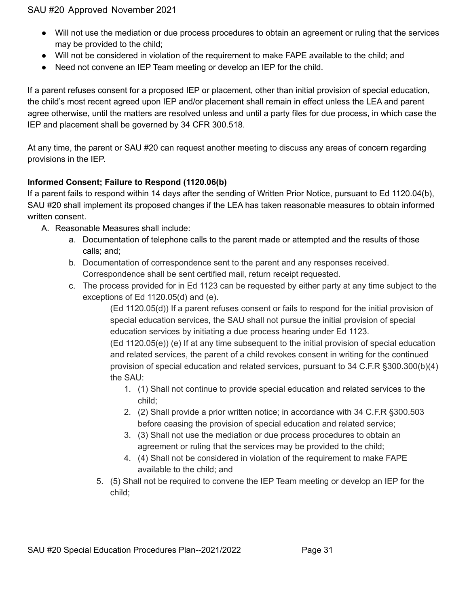- Will not use the mediation or due process procedures to obtain an agreement or ruling that the services may be provided to the child;
- Will not be considered in violation of the requirement to make FAPE available to the child; and
- Need not convene an IEP Team meeting or develop an IEP for the child.

If a parent refuses consent for a proposed IEP or placement, other than initial provision of special education, the child's most recent agreed upon IEP and/or placement shall remain in effect unless the LEA and parent agree otherwise, until the matters are resolved unless and until a party files for due process, in which case the IEP and placement shall be governed by 34 CFR 300.518.

At any time, the parent or SAU #20 can request another meeting to discuss any areas of concern regarding provisions in the IEP.

## **Informed Consent; Failure to Respond (1120.06(b)**

If a parent fails to respond within 14 days after the sending of Written Prior Notice, pursuant to Ed 1120.04(b), SAU #20 shall implement its proposed changes if the LEA has taken reasonable measures to obtain informed written consent.

- A. Reasonable Measures shall include:
	- a. Documentation of telephone calls to the parent made or attempted and the results of those calls; and;
	- b. Documentation of correspondence sent to the parent and any responses received. Correspondence shall be sent certified mail, return receipt requested.
	- c. The process provided for in Ed 1123 can be requested by either party at any time subject to the exceptions of Ed 1120.05(d) and (e).

(Ed 1120.05(d)) If a parent refuses consent or fails to respond for the initial provision of special education services, the SAU shall not pursue the initial provision of special education services by initiating a due process hearing under Ed 1123.

(Ed 1120.05(e)) (e) If at any time subsequent to the initial provision of special education and related services, the parent of a child revokes consent in writing for the continued provision of special education and related services, pursuant to 34 C.F.R §300.300(b)(4) the SAU:

- 1. (1) Shall not continue to provide special education and related services to the child;
- 2. (2) Shall provide a prior written notice; in accordance with 34 C.F.R §300.503 before ceasing the provision of special education and related service;
- 3. (3) Shall not use the mediation or due process procedures to obtain an agreement or ruling that the services may be provided to the child;
- 4. (4) Shall not be considered in violation of the requirement to make FAPE available to the child; and
- 5. (5) Shall not be required to convene the IEP Team meeting or develop an IEP for the child;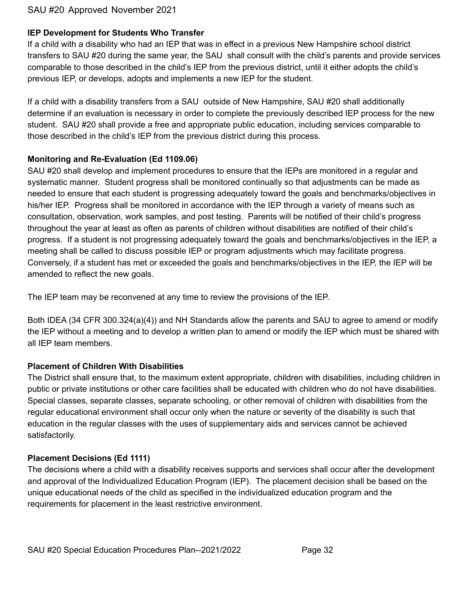#### **IEP Development for Students Who Transfer**

If a child with a disability who had an IEP that was in effect in a previous New Hampshire school district transfers to SAU #20 during the same year, the SAU shall consult with the child's parents and provide services comparable to those described in the child's IEP from the previous district, until it either adopts the child's previous IEP, or develops, adopts and implements a new IEP for the student.

If a child with a disability transfers from a SAU outside of New Hampshire, SAU #20 shall additionally determine if an evaluation is necessary in order to complete the previously described IEP process for the new student. SAU #20 shall provide a free and appropriate public education, including services comparable to those described in the child's IEP from the previous district during this process.

#### **Monitoring and Re-Evaluation (Ed 1109.06)**

SAU #20 shall develop and implement procedures to ensure that the IEPs are monitored in a regular and systematic manner. Student progress shall be monitored continually so that adjustments can be made as needed to ensure that each student is progressing adequately toward the goals and benchmarks/objectives in his/her IEP. Progress shall be monitored in accordance with the IEP through a variety of means such as consultation, observation, work samples, and post testing. Parents will be notified of their child's progress throughout the year at least as often as parents of children without disabilities are notified of their child's progress. If a student is not progressing adequately toward the goals and benchmarks/objectives in the IEP, a meeting shall be called to discuss possible IEP or program adjustments which may facilitate progress. Conversely, if a student has met or exceeded the goals and benchmarks/objectives in the IEP, the IEP will be amended to reflect the new goals.

The IEP team may be reconvened at any time to review the provisions of the IEP.

Both IDEA (34 CFR 300.324(a)(4)) and NH Standards allow the parents and SAU to agree to amend or modify the IEP without a meeting and to develop a written plan to amend or modify the IEP which must be shared with all IEP team members.

#### **Placement of Children With Disabilities**

The District shall ensure that, to the maximum extent appropriate, children with disabilities, including children in public or private institutions or other care facilities shall be educated with children who do not have disabilities. Special classes, separate classes, separate schooling, or other removal of children with disabilities from the regular educational environment shall occur only when the nature or severity of the disability is such that education in the regular classes with the uses of supplementary aids and services cannot be achieved satisfactorily.

#### **Placement Decisions (Ed 1111)**

The decisions where a child with a disability receives supports and services shall occur after the development and approval of the Individualized Education Program (IEP). The placement decision shall be based on the unique educational needs of the child as specified in the individualized education program and the requirements for placement in the least restrictive environment.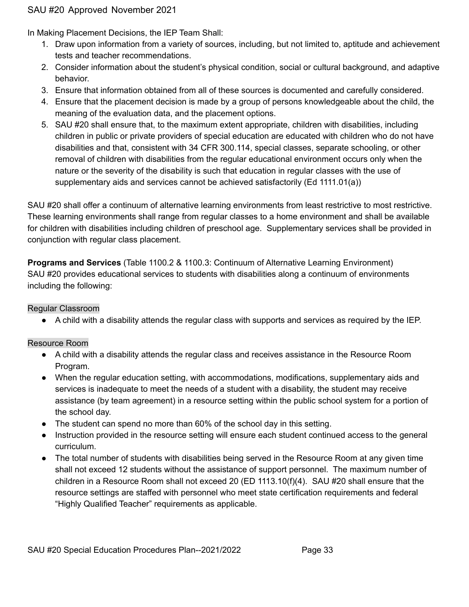In Making Placement Decisions, the IEP Team Shall:

- 1. Draw upon information from a variety of sources, including, but not limited to, aptitude and achievement tests and teacher recommendations.
- 2. Consider information about the student's physical condition, social or cultural background, and adaptive behavior.
- 3. Ensure that information obtained from all of these sources is documented and carefully considered.
- 4. Ensure that the placement decision is made by a group of persons knowledgeable about the child, the meaning of the evaluation data, and the placement options.
- 5. SAU #20 shall ensure that, to the maximum extent appropriate, children with disabilities, including children in public or private providers of special education are educated with children who do not have disabilities and that, consistent with 34 CFR 300.114, special classes, separate schooling, or other removal of children with disabilities from the regular educational environment occurs only when the nature or the severity of the disability is such that education in regular classes with the use of supplementary aids and services cannot be achieved satisfactorily (Ed 1111.01(a))

SAU #20 shall offer a continuum of alternative learning environments from least restrictive to most restrictive. These learning environments shall range from regular classes to a home environment and shall be available for children with disabilities including children of preschool age. Supplementary services shall be provided in conjunction with regular class placement.

**Programs and Services** (Table 1100.2 & 1100.3: Continuum of Alternative Learning Environment) SAU #20 provides educational services to students with disabilities along a continuum of environments including the following:

## Regular Classroom

● A child with a disability attends the regular class with supports and services as required by the IEP.

## Resource Room

- A child with a disability attends the regular class and receives assistance in the Resource Room Program.
- When the regular education setting, with accommodations, modifications, supplementary aids and services is inadequate to meet the needs of a student with a disability, the student may receive assistance (by team agreement) in a resource setting within the public school system for a portion of the school day.
- The student can spend no more than 60% of the school day in this setting.
- Instruction provided in the resource setting will ensure each student continued access to the general curriculum.
- The total number of students with disabilities being served in the Resource Room at any given time shall not exceed 12 students without the assistance of support personnel. The maximum number of children in a Resource Room shall not exceed 20 (ED 1113.10(f)(4). SAU #20 shall ensure that the resource settings are staffed with personnel who meet state certification requirements and federal "Highly Qualified Teacher" requirements as applicable.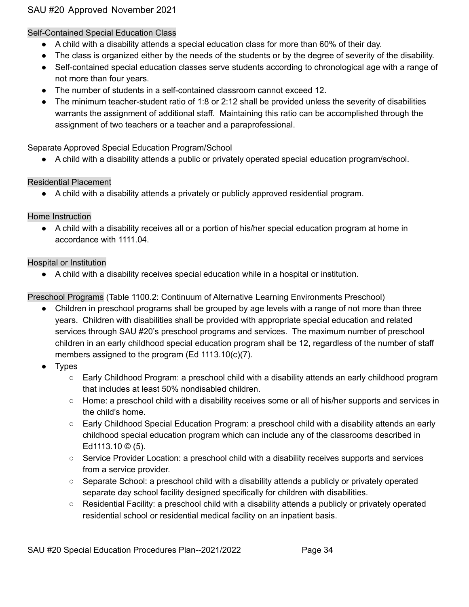#### Self-Contained Special Education Class

- A child with a disability attends a special education class for more than 60% of their day.
- The class is organized either by the needs of the students or by the degree of severity of the disability.
- Self-contained special education classes serve students according to chronological age with a range of not more than four years.
- The number of students in a self-contained classroom cannot exceed 12.
- The minimum teacher-student ratio of 1:8 or 2:12 shall be provided unless the severity of disabilities warrants the assignment of additional staff. Maintaining this ratio can be accomplished through the assignment of two teachers or a teacher and a paraprofessional.

## Separate Approved Special Education Program/School

● A child with a disability attends a public or privately operated special education program/school.

#### Residential Placement

● A child with a disability attends a privately or publicly approved residential program.

## Home Instruction

● A child with a disability receives all or a portion of his/her special education program at home in accordance with 1111.04.

#### Hospital or Institution

● A child with a disability receives special education while in a hospital or institution.

Preschool Programs (Table 1100.2: Continuum of Alternative Learning Environments Preschool)

- Children in preschool programs shall be grouped by age levels with a range of not more than three years. Children with disabilities shall be provided with appropriate special education and related services through SAU #20's preschool programs and services. The maximum number of preschool children in an early childhood special education program shall be 12, regardless of the number of staff members assigned to the program (Ed 1113.10(c)(7).
- Types
	- Early Childhood Program: a preschool child with a disability attends an early childhood program that includes at least 50% nondisabled children.
	- Home: a preschool child with a disability receives some or all of his/her supports and services in the child's home.
	- Early Childhood Special Education Program: a preschool child with a disability attends an early childhood special education program which can include any of the classrooms described in Ed1113.10 © (5).
	- Service Provider Location: a preschool child with a disability receives supports and services from a service provider.
	- Separate School: a preschool child with a disability attends a publicly or privately operated separate day school facility designed specifically for children with disabilities.
	- $\circ$  Residential Facility: a preschool child with a disability attends a publicly or privately operated residential school or residential medical facility on an inpatient basis.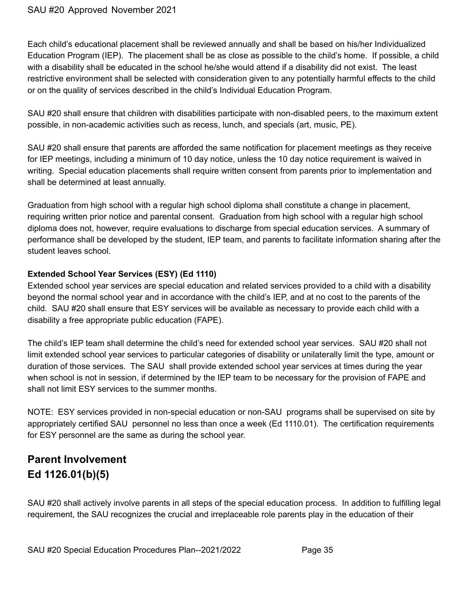Each child's educational placement shall be reviewed annually and shall be based on his/her Individualized Education Program (IEP). The placement shall be as close as possible to the child's home. If possible, a child with a disability shall be educated in the school he/she would attend if a disability did not exist. The least restrictive environment shall be selected with consideration given to any potentially harmful effects to the child or on the quality of services described in the child's Individual Education Program.

SAU #20 shall ensure that children with disabilities participate with non-disabled peers, to the maximum extent possible, in non-academic activities such as recess, lunch, and specials (art, music, PE).

SAU #20 shall ensure that parents are afforded the same notification for placement meetings as they receive for IEP meetings, including a minimum of 10 day notice, unless the 10 day notice requirement is waived in writing. Special education placements shall require written consent from parents prior to implementation and shall be determined at least annually.

Graduation from high school with a regular high school diploma shall constitute a change in placement, requiring written prior notice and parental consent. Graduation from high school with a regular high school diploma does not, however, require evaluations to discharge from special education services. A summary of performance shall be developed by the student, IEP team, and parents to facilitate information sharing after the student leaves school.

## **Extended School Year Services (ESY) (Ed 1110)**

Extended school year services are special education and related services provided to a child with a disability beyond the normal school year and in accordance with the child's IEP, and at no cost to the parents of the child. SAU #20 shall ensure that ESY services will be available as necessary to provide each child with a disability a free appropriate public education (FAPE).

The child's IEP team shall determine the child's need for extended school year services. SAU #20 shall not limit extended school year services to particular categories of disability or unilaterally limit the type, amount or duration of those services. The SAU shall provide extended school year services at times during the year when school is not in session, if determined by the IEP team to be necessary for the provision of FAPE and shall not limit ESY services to the summer months.

NOTE: ESY services provided in non-special education or non-SAU programs shall be supervised on site by appropriately certified SAU personnel no less than once a week (Ed 1110.01). The certification requirements for ESY personnel are the same as during the school year.

## **Parent Involvement Ed 1126.01(b)(5)**

SAU #20 shall actively involve parents in all steps of the special education process. In addition to fulfilling legal requirement, the SAU recognizes the crucial and irreplaceable role parents play in the education of their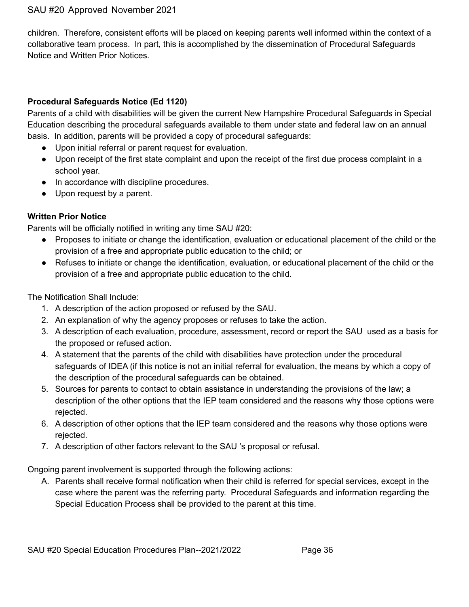children. Therefore, consistent efforts will be placed on keeping parents well informed within the context of a collaborative team process. In part, this is accomplished by the dissemination of Procedural Safeguards Notice and Written Prior Notices.

## **Procedural Safeguards Notice (Ed 1120)**

Parents of a child with disabilities will be given the current New Hampshire Procedural Safeguards in Special Education describing the procedural safeguards available to them under state and federal law on an annual basis. In addition, parents will be provided a copy of procedural safeguards:

- Upon initial referral or parent request for evaluation.
- Upon receipt of the first state complaint and upon the receipt of the first due process complaint in a school year.
- In accordance with discipline procedures.
- Upon request by a parent.

## **Written Prior Notice**

Parents will be officially notified in writing any time SAU #20:

- Proposes to initiate or change the identification, evaluation or educational placement of the child or the provision of a free and appropriate public education to the child; or
- Refuses to initiate or change the identification, evaluation, or educational placement of the child or the provision of a free and appropriate public education to the child.

The Notification Shall Include:

- 1. A description of the action proposed or refused by the SAU.
- 2. An explanation of why the agency proposes or refuses to take the action.
- 3. A description of each evaluation, procedure, assessment, record or report the SAU used as a basis for the proposed or refused action.
- 4. A statement that the parents of the child with disabilities have protection under the procedural safeguards of IDEA (if this notice is not an initial referral for evaluation, the means by which a copy of the description of the procedural safeguards can be obtained.
- 5. Sources for parents to contact to obtain assistance in understanding the provisions of the law; a description of the other options that the IEP team considered and the reasons why those options were rejected.
- 6. A description of other options that the IEP team considered and the reasons why those options were rejected.
- 7. A description of other factors relevant to the SAU 's proposal or refusal.

Ongoing parent involvement is supported through the following actions:

A. Parents shall receive formal notification when their child is referred for special services, except in the case where the parent was the referring party. Procedural Safeguards and information regarding the Special Education Process shall be provided to the parent at this time.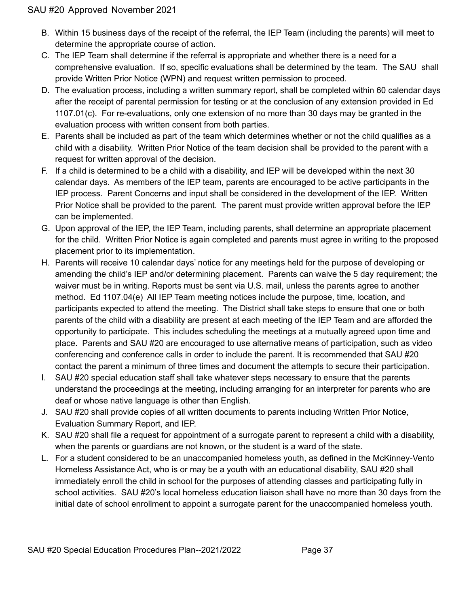- B. Within 15 business days of the receipt of the referral, the IEP Team (including the parents) will meet to determine the appropriate course of action.
- C. The IEP Team shall determine if the referral is appropriate and whether there is a need for a comprehensive evaluation. If so, specific evaluations shall be determined by the team. The SAU shall provide Written Prior Notice (WPN) and request written permission to proceed.
- D. The evaluation process, including a written summary report, shall be completed within 60 calendar days after the receipt of parental permission for testing or at the conclusion of any extension provided in Ed 1107.01(c). For re-evaluations, only one extension of no more than 30 days may be granted in the evaluation process with written consent from both parties.
- E. Parents shall be included as part of the team which determines whether or not the child qualifies as a child with a disability. Written Prior Notice of the team decision shall be provided to the parent with a request for written approval of the decision.
- F. If a child is determined to be a child with a disability, and IEP will be developed within the next 30 calendar days. As members of the IEP team, parents are encouraged to be active participants in the IEP process. Parent Concerns and input shall be considered in the development of the IEP. Written Prior Notice shall be provided to the parent. The parent must provide written approval before the IEP can be implemented.
- G. Upon approval of the IEP, the IEP Team, including parents, shall determine an appropriate placement for the child. Written Prior Notice is again completed and parents must agree in writing to the proposed placement prior to its implementation.
- H. Parents will receive 10 calendar days' notice for any meetings held for the purpose of developing or amending the child's IEP and/or determining placement. Parents can waive the 5 day requirement; the waiver must be in writing. Reports must be sent via U.S. mail, unless the parents agree to another method. Ed 1107.04(e) All IEP Team meeting notices include the purpose, time, location, and participants expected to attend the meeting. The District shall take steps to ensure that one or both parents of the child with a disability are present at each meeting of the IEP Team and are afforded the opportunity to participate. This includes scheduling the meetings at a mutually agreed upon time and place. Parents and SAU #20 are encouraged to use alternative means of participation, such as video conferencing and conference calls in order to include the parent. It is recommended that SAU #20 contact the parent a minimum of three times and document the attempts to secure their participation.
- I. SAU #20 special education staff shall take whatever steps necessary to ensure that the parents understand the proceedings at the meeting, including arranging for an interpreter for parents who are deaf or whose native language is other than English.
- J. SAU #20 shall provide copies of all written documents to parents including Written Prior Notice, Evaluation Summary Report, and IEP.
- K. SAU #20 shall file a request for appointment of a surrogate parent to represent a child with a disability, when the parents or guardians are not known, or the student is a ward of the state.
- L. For a student considered to be an unaccompanied homeless youth, as defined in the McKinney-Vento Homeless Assistance Act, who is or may be a youth with an educational disability, SAU #20 shall immediately enroll the child in school for the purposes of attending classes and participating fully in school activities. SAU #20's local homeless education liaison shall have no more than 30 days from the initial date of school enrollment to appoint a surrogate parent for the unaccompanied homeless youth.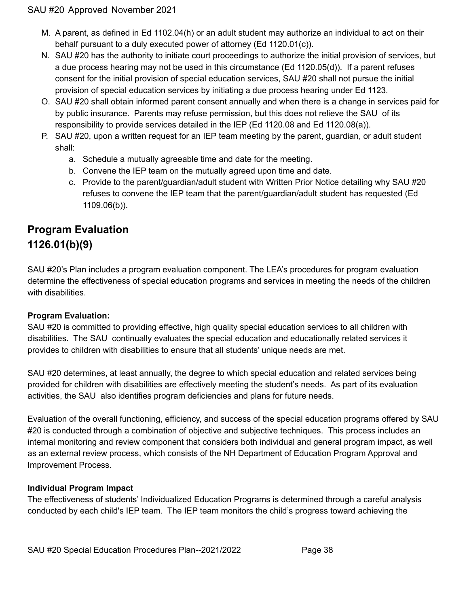- M. A parent, as defined in Ed 1102.04(h) or an adult student may authorize an individual to act on their behalf pursuant to a duly executed power of attorney (Ed 1120.01(c)).
- N. SAU #20 has the authority to initiate court proceedings to authorize the initial provision of services, but a due process hearing may not be used in this circumstance (Ed 1120.05(d)). If a parent refuses consent for the initial provision of special education services, SAU #20 shall not pursue the initial provision of special education services by initiating a due process hearing under Ed 1123.
- O. SAU #20 shall obtain informed parent consent annually and when there is a change in services paid for by public insurance. Parents may refuse permission, but this does not relieve the SAU of its responsibility to provide services detailed in the IEP (Ed 1120.08 and Ed 1120.08(a)).
- P. SAU #20, upon a written request for an IEP team meeting by the parent, guardian, or adult student shall:
	- a. Schedule a mutually agreeable time and date for the meeting.
	- b. Convene the IEP team on the mutually agreed upon time and date.
	- c. Provide to the parent/guardian/adult student with Written Prior Notice detailing why SAU #20 refuses to convene the IEP team that the parent/guardian/adult student has requested (Ed 1109.06(b)).

## **Program Evaluation 1126.01(b)(9)**

SAU #20's Plan includes a program evaluation component. The LEA's procedures for program evaluation determine the effectiveness of special education programs and services in meeting the needs of the children with disabilities.

## **Program Evaluation:**

SAU #20 is committed to providing effective, high quality special education services to all children with disabilities. The SAU continually evaluates the special education and educationally related services it provides to children with disabilities to ensure that all students' unique needs are met.

SAU #20 determines, at least annually, the degree to which special education and related services being provided for children with disabilities are effectively meeting the student's needs. As part of its evaluation activities, the SAU also identifies program deficiencies and plans for future needs.

Evaluation of the overall functioning, efficiency, and success of the special education programs offered by SAU #20 is conducted through a combination of objective and subjective techniques. This process includes an internal monitoring and review component that considers both individual and general program impact, as well as an external review process, which consists of the NH Department of Education Program Approval and Improvement Process.

## **Individual Program Impact**

The effectiveness of students' Individualized Education Programs is determined through a careful analysis conducted by each child's IEP team. The IEP team monitors the child's progress toward achieving the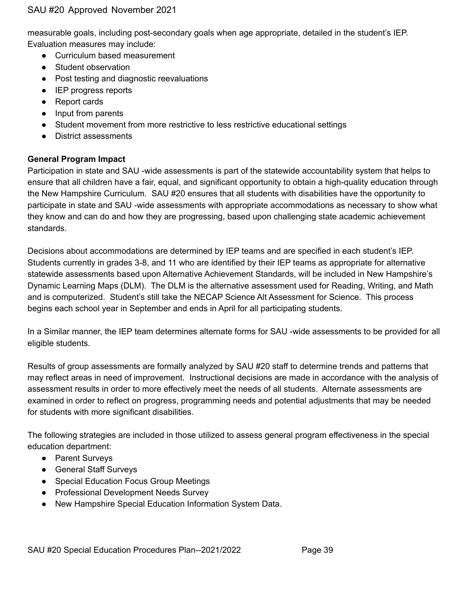measurable goals, including post-secondary goals when age appropriate, detailed in the student's IEP. Evaluation measures may include:

- Curriculum based measurement
- Student observation
- Post testing and diagnostic reevaluations
- IEP progress reports
- Report cards
- Input from parents
- Student movement from more restrictive to less restrictive educational settings
- District assessments

#### **General Program Impact**

Participation in state and SAU -wide assessments is part of the statewide accountability system that helps to ensure that all children have a fair, equal, and significant opportunity to obtain a high-quality education through the New Hampshire Curriculum. SAU #20 ensures that all students with disabilities have the opportunity to participate in state and SAU -wide assessments with appropriate accommodations as necessary to show what they know and can do and how they are progressing, based upon challenging state academic achievement standards.

Decisions about accommodations are determined by IEP teams and are specified in each student's IEP. Students currently in grades 3-8, and 11 who are identified by their IEP teams as appropriate for alternative statewide assessments based upon Alternative Achievement Standards, will be included in New Hampshire's Dynamic Learning Maps (DLM). The DLM is the alternative assessment used for Reading, Writing, and Math and is computerized. Student's still take the NECAP Science Alt Assessment for Science. This process begins each school year in September and ends in April for all participating students.

In a Similar manner, the IEP team determines alternate forms for SAU -wide assessments to be provided for all eligible students.

Results of group assessments are formally analyzed by SAU #20 staff to determine trends and patterns that may reflect areas in need of improvement. Instructional decisions are made in accordance with the analysis of assessment results in order to more effectively meet the needs of all students. Alternate assessments are examined in order to reflect on progress, programming needs and potential adjustments that may be needed for students with more significant disabilities.

The following strategies are included in those utilized to assess general program effectiveness in the special education department:

- Parent Surveys
- General Staff Surveys
- Special Education Focus Group Meetings
- Professional Development Needs Survey
- New Hampshire Special Education Information System Data.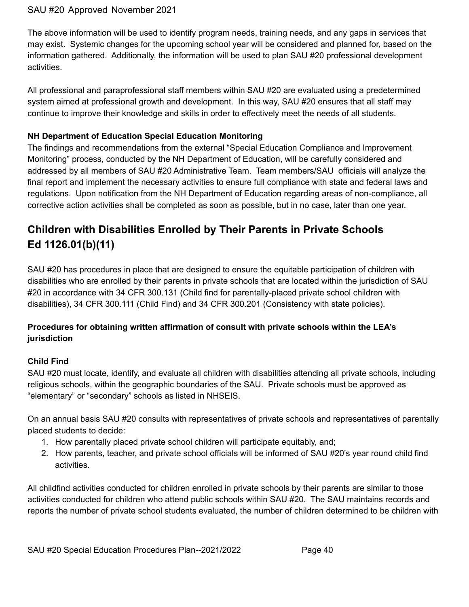The above information will be used to identify program needs, training needs, and any gaps in services that may exist. Systemic changes for the upcoming school year will be considered and planned for, based on the information gathered. Additionally, the information will be used to plan SAU #20 professional development activities.

All professional and paraprofessional staff members within SAU #20 are evaluated using a predetermined system aimed at professional growth and development. In this way, SAU #20 ensures that all staff may continue to improve their knowledge and skills in order to effectively meet the needs of all students.

## **NH Department of Education Special Education Monitoring**

The findings and recommendations from the external "Special Education Compliance and Improvement Monitoring" process, conducted by the NH Department of Education, will be carefully considered and addressed by all members of SAU #20 Administrative Team. Team members/SAU officials will analyze the final report and implement the necessary activities to ensure full compliance with state and federal laws and regulations. Upon notification from the NH Department of Education regarding areas of non-compliance, all corrective action activities shall be completed as soon as possible, but in no case, later than one year.

## **Children with Disabilities Enrolled by Their Parents in Private Schools Ed 1126.01(b)(11)**

SAU #20 has procedures in place that are designed to ensure the equitable participation of children with disabilities who are enrolled by their parents in private schools that are located within the jurisdiction of SAU #20 in accordance with 34 CFR 300.131 (Child find for parentally-placed private school children with disabilities), 34 CFR 300.111 (Child Find) and 34 CFR 300.201 (Consistency with state policies).

## **Procedures for obtaining written affirmation of consult with private schools within the LEA's jurisdiction**

## **Child Find**

SAU #20 must locate, identify, and evaluate all children with disabilities attending all private schools, including religious schools, within the geographic boundaries of the SAU. Private schools must be approved as "elementary" or "secondary" schools as listed in NHSEIS.

On an annual basis SAU #20 consults with representatives of private schools and representatives of parentally placed students to decide:

- 1. How parentally placed private school children will participate equitably, and;
- 2. How parents, teacher, and private school officials will be informed of SAU #20's year round child find activities.

All childfind activities conducted for children enrolled in private schools by their parents are similar to those activities conducted for children who attend public schools within SAU #20. The SAU maintains records and reports the number of private school students evaluated, the number of children determined to be children with